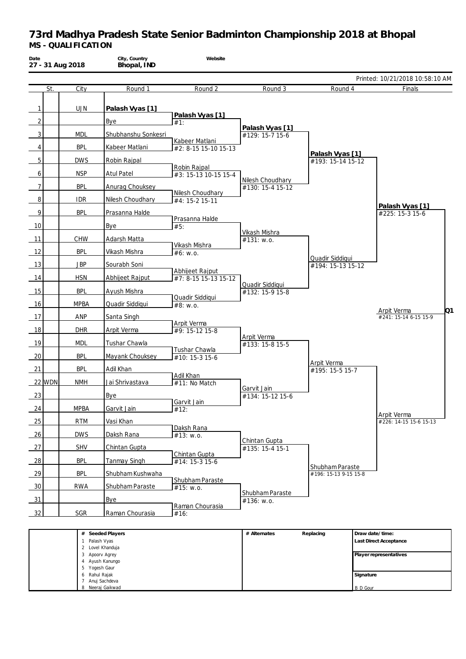| Date           | 27 - 31 Aug 2018 | City, Country<br>Bhopal, IND | Website                                 |                                      |                                          |                                 |
|----------------|------------------|------------------------------|-----------------------------------------|--------------------------------------|------------------------------------------|---------------------------------|
|                |                  |                              |                                         |                                      |                                          | Printed: 10/21/2018 10:58:10 AM |
| St.            | City             | Round 1                      | Round 2                                 | Round 3                              | Round 4                                  | Finals                          |
| 1              | <b>UJN</b>       | Palash Vyas [1]              |                                         |                                      |                                          |                                 |
|                |                  |                              | Palash Vyas [1]                         |                                      |                                          |                                 |
| $\overline{2}$ |                  | Bye                          | #1:                                     | Palash Vyas [1]                      |                                          |                                 |
| $\mathbf{3}$   | <b>MDL</b>       | Shubhanshu Sonkesri          | Kabeer Matlani                          | #129: 15-7 15-6                      |                                          |                                 |
| 4              | <b>BPL</b>       | Kabeer Matlani               | #2: 8-15 15-10 15-13                    |                                      | Palash Vyas [1]                          |                                 |
| 5              | <b>DWS</b>       | Robin Rajpal                 |                                         |                                      | #193: 15-14 15-12                        |                                 |
| $6 \mid$       | <b>NSP</b>       | <b>Atul Patel</b>            | Robin Rajpal<br>#3: 15-13 10-15 15-4    |                                      |                                          |                                 |
| $\overline{7}$ | <b>BPL</b>       | Anurag Chouksey              |                                         | Nilesh Choudhary<br>#130: 15-4 15-12 |                                          |                                 |
| 8              | <b>IDR</b>       | Nilesh Choudhary             | Nilesh Choudhary<br>#4: 15-2 15-11      |                                      |                                          |                                 |
|                | <b>BPL</b>       | Prasanna Halde               |                                         |                                      |                                          | Palash Vyas [1]                 |
| 9              |                  |                              | Prasanna Halde                          |                                      |                                          | #225: 15-3 15-6                 |
| 10             |                  | Bye                          | #5:                                     | Vikash Mishra                        |                                          |                                 |
| 11             | CHW              | Adarsh Matta                 | Vikash Mishra                           | #131: w.o.                           |                                          |                                 |
| 12             | <b>BPL</b>       | Vikash Mishra                | #6: w.o.                                |                                      |                                          |                                 |
| 13             | <b>JBP</b>       | Sourabh Soni                 |                                         |                                      | Quadir Siddiqui<br>#194: 15-13 15-12     |                                 |
| 14             | <b>HSN</b>       | Abhijeet Rajput              | Abhijeet Rajput<br>#7: 8-15 15-13 15-12 |                                      |                                          |                                 |
| 15             | <b>BPL</b>       | Ayush Mishra                 |                                         | Quadir Siddiqui<br>#132: 15-9 15-8   |                                          |                                 |
| 16             | <b>MPBA</b>      |                              | Quadir Siddiqui                         |                                      |                                          |                                 |
|                |                  | Quadir Siddiqui              | #8: W.0.                                |                                      |                                          | Q1<br>Arpit Verma               |
| 17             | ANP              | Santa Singh                  | Arpit Verma                             |                                      |                                          | #241: 15-14 6-15 15-9           |
| 18             | <b>DHR</b>       | Arpit Verma                  | #9: 15-12 15-8                          | Arpit Verma                          |                                          |                                 |
| 19             | <b>MDL</b>       | Tushar Chawla                | Tushar Chawla                           | #133: 15-8 15-5                      |                                          |                                 |
| 20             | <b>BPL</b>       | Mayank Chouksey              | #10: 15-3 15-6                          |                                      |                                          |                                 |
| 21             | <b>BPL</b>       | Adil Khan                    |                                         |                                      | Arpit Verma<br>#195: 15-5 15-7           |                                 |
| 22 WDN         | <b>NMH</b>       | Jai Shrivastava              | Adil Khan<br>#11: No Match              |                                      |                                          |                                 |
| 23             |                  | <b>Bye</b>                   |                                         | Garvit Jain<br>#134: 15-12 15-6      |                                          |                                 |
|                |                  |                              | Garvit Jain                             |                                      |                                          |                                 |
| 24             | <b>MPBA</b>      | Garvit Jain                  | $\overline{1/2}$ :                      |                                      |                                          | Arpit Verma                     |
| 25             | <b>RTM</b>       | Vasi Khan                    | Daksh Rana                              |                                      |                                          | #226: 14-15 15-6 15-13          |
| 26             | <b>DWS</b>       | Daksh Rana                   | #13: w.o.                               | Chintan Gupta                        |                                          |                                 |
| 27             | SHV              | Chintan Gupta                | Chintan Gupta                           | #135: 15-4 15-1                      |                                          |                                 |
| 28             | <b>BPL</b>       | <b>Tanmay Singh</b>          | #14: 15-3 15-6                          |                                      |                                          |                                 |
| 29             | <b>BPL</b>       | Shubham Kushwaha             |                                         |                                      | Shubham Paraste<br>#196: 15-13 9-15 15-8 |                                 |
| 30             | RWA              | Shubham Paraste              | Shubham Paraste<br>#15: w.o.            |                                      |                                          |                                 |
| 31             |                  | <b>Bye</b>                   |                                         | Shubham Paraste                      |                                          |                                 |
|                |                  |                              | Raman Chourasia                         | #136: w.o.                           |                                          |                                 |
| 32             | <b>SGR</b>       | Raman Chourasia              | #16:                                    |                                      |                                          |                                 |
|                |                  | # Seeded Players             |                                         | # Alternates                         | Replacing                                | Draw date/time:                 |
|                | 1 Palash Vyas    | 2 Lovel Khanduja             |                                         |                                      |                                          | Last Direct Acceptance          |
|                |                  | 3 Apoorv Agrey               |                                         |                                      |                                          | Player representatives          |
|                | 5 Yogesh Gaur    | 4 Ayush Kanungo              |                                         |                                      |                                          |                                 |
|                | 6 Rahul Rajak    | 7 Anuj Sachdeva              |                                         |                                      |                                          | Signature                       |
|                |                  | 8 Neeraj Gaikwad             |                                         |                                      |                                          | <b>B</b> D Gour                 |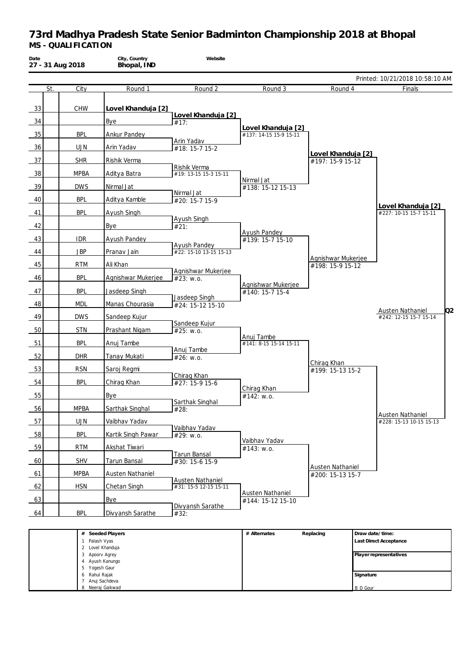| Date<br>27 - 31 Aug 2018 |             | City, Country<br>Bhopal, IND      | Website                                          |                                       |                                      |                                              |
|--------------------------|-------------|-----------------------------------|--------------------------------------------------|---------------------------------------|--------------------------------------|----------------------------------------------|
|                          |             |                                   |                                                  |                                       |                                      | Printed: 10/21/2018 10:58:10 AM              |
| St.                      | City        | Round 1                           | Round 2                                          | Round 3                               | Round 4                              | Finals                                       |
| 33                       | <b>CHW</b>  | Lovel Khanduja [2]                | Lovel Khanduja [2]                               |                                       |                                      |                                              |
| 34                       |             | Bye                               | #17:                                             | Lovel Khanduja [2]                    |                                      |                                              |
| 35                       | <b>BPL</b>  | Ankur Pandey                      | Arin Yadav                                       | #137: 14-15 15-9 15-11                |                                      |                                              |
| 36                       | <b>UJN</b>  | Arin Yadav                        | #18: 15-7 15-2                                   |                                       | Lovel Khanduja [2]                   |                                              |
| 37                       | <b>SHR</b>  | Rishik Verma                      | Rishik Verma                                     |                                       | #197: 15-9 15-12                     |                                              |
| 38                       | <b>MPBA</b> | Aditya Batra                      | #19: 13-15 15-3 15-11                            | Nirmal Jat                            |                                      |                                              |
| 39                       | <b>DWS</b>  | Nirmal Jat                        |                                                  | #138: 15-12 15-13                     |                                      |                                              |
| 40                       | <b>BPL</b>  | Aditya Kamble                     | Nirmal Jat<br>#20: 15-7 15-9                     |                                       |                                      |                                              |
| 41                       | <b>BPL</b>  | Ayush Singh                       |                                                  |                                       |                                      | Lovel Khanduja [2]<br>#227: 10-15 15-7 15-11 |
| 42                       |             | Bye                               | Ayush Singh<br>#21:                              |                                       |                                      |                                              |
| 43                       | <b>IDR</b>  | Ayush Pandey                      |                                                  | Ayush Pandey                          |                                      |                                              |
|                          |             |                                   | <b>Ayush Pandey</b><br>#22: 15-10 13-15 15-13    | #139: 15-7 15-10                      |                                      |                                              |
| 44                       | <b>JBP</b>  | Pranav Jain                       |                                                  |                                       | Agnishwar Mukerjee                   |                                              |
| 45                       | <b>RTM</b>  | Ali Khan                          | Agnishwar Mukerjee                               |                                       | #198: 15-9 15-12                     |                                              |
| 46                       | <b>BPL</b>  | Agnishwar Mukerjee                | #23: W.0.                                        | Agnishwar Mukerjee                    |                                      |                                              |
| 47                       | <b>BPL</b>  | Jasdeep Singh                     | Jasdeep Singh                                    | #140: 15-7 15-4                       |                                      |                                              |
| 48                       | <b>MDL</b>  | Manas Chourasia                   | #24: 15-12 15-10                                 |                                       |                                      | O <sub>2</sub>                               |
| 49                       | <b>DWS</b>  | Sandeep Kujur                     |                                                  |                                       |                                      | Austen Nathaniel<br>#242: 12-15 15-7 15-14   |
| 50                       | <b>STN</b>  | Prashant Nigam                    | Sandeep Kujur<br>#25: w.o.                       |                                       |                                      |                                              |
| 51                       | <b>BPL</b>  | Anuj Tambe                        |                                                  | Anuj Tambe<br>#141: 8-15 15-14 15-11  |                                      |                                              |
| 52                       | <b>DHR</b>  | Tanay Mukati                      | Anuj Tambe<br>#26: w.o.                          |                                       |                                      |                                              |
| 53                       | <b>RSN</b>  | Saroj Regmi                       |                                                  |                                       | Chirag Khan<br>#199: 15-13 15-2      |                                              |
| 54                       | <b>BPL</b>  | Chirag Khan                       | Chirag Khan                                      |                                       |                                      |                                              |
|                          |             |                                   | #27: 15-9 15-6                                   | Chirag Khan                           |                                      |                                              |
| 55                       |             | Bye                               | Sarthak Singhal                                  | #142: w.o.                            |                                      |                                              |
| 56                       | <b>MPBA</b> | Sarthak Singhal                   | #28:                                             |                                       |                                      | Austen Nathaniel                             |
| 57                       | <b>UJN</b>  | Vaibhav Yadav                     | Vaibhav Yadav                                    |                                       |                                      | #228: 15-13 10-15 15-13                      |
| 58                       | <b>BPL</b>  | Kartik Singh Pawar                | #29: w.o.                                        | Vaibhav Yadav                         |                                      |                                              |
| 59                       | <b>RTM</b>  | Akshat Tiwari                     |                                                  | #143: w.o.                            |                                      |                                              |
| 60                       | <b>SHV</b>  | Tarun Bansal                      | Tarun Bansal<br>#30: 15-6 15-9                   |                                       |                                      |                                              |
| 61                       | <b>MPBA</b> | Austen Nathaniel                  |                                                  |                                       | Austen Nathaniel<br>#200: 15-13 15-7 |                                              |
| 62                       | <b>HSN</b>  | Chetan Singh                      | <b>Austen Nathaniel</b><br>#31: 15-5 12-15 15-11 |                                       |                                      |                                              |
| 63                       |             | <b>Bye</b>                        |                                                  | Austen Nathaniel<br>#144: 15-12 15-10 |                                      |                                              |
| 64                       | <b>BPL</b>  | Divyansh Sarathe                  | Divyansh Sarathe                                 |                                       |                                      |                                              |
|                          |             |                                   | #32:                                             |                                       |                                      |                                              |
|                          |             | # Seeded Players                  |                                                  | # Alternates                          | Replacing                            | Draw date/time:                              |
|                          |             | 1 Palash Vyas<br>2 Lovel Khanduja |                                                  |                                       |                                      | Last Direct Acceptance                       |
|                          |             | 3 Apoorv Agrey<br>4 Ayush Kanungo |                                                  |                                       |                                      | Player representatives                       |
|                          |             | Yogesh Gaur                       |                                                  |                                       |                                      |                                              |

**Signature** B D Gour

6 Rahul Rajak 7 Anuj Sachdeva 8 Neeraj Gaikwad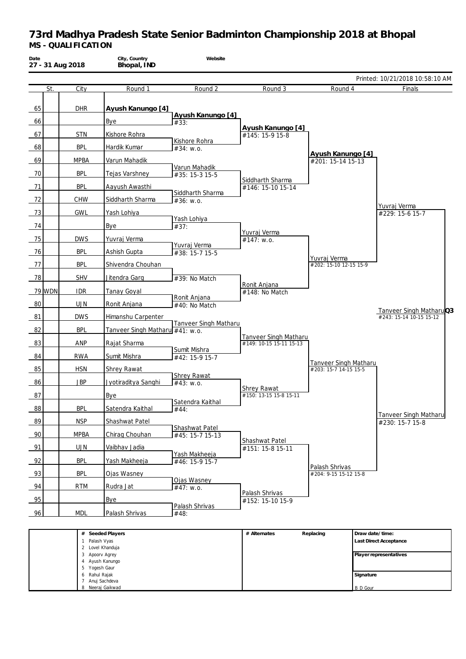| Date<br>27 - 31 Aug 2018 |                                | City, Country<br>Bhopal, IND        | Website                         |                                              |                                                       |                                           |
|--------------------------|--------------------------------|-------------------------------------|---------------------------------|----------------------------------------------|-------------------------------------------------------|-------------------------------------------|
|                          |                                |                                     |                                 |                                              |                                                       | Printed: 10/21/2018 10:58:10 AM           |
| St.                      | City                           | Round 1                             | Round 2                         | Round 3                                      | Round 4                                               | Finals                                    |
| 65                       | <b>DHR</b>                     | Ayush Kanungo [4]                   | Ayush Kanungo [4]               |                                              |                                                       |                                           |
| 66                       |                                | Bye                                 | #33:                            | Ayush Kanungo [4]                            |                                                       |                                           |
| 67                       | <b>STN</b>                     | Kishore Rohra                       | Kishore Rohra                   | #145: 15-9 15-8                              |                                                       |                                           |
| 68                       | <b>BPL</b>                     | Hardik Kumar                        | #34: w.o.                       |                                              |                                                       |                                           |
| 69                       | <b>MPBA</b>                    | Varun Mahadik                       |                                 |                                              | Ayush Kanungo [4]<br>#201: 15-14 15-13                |                                           |
| 70                       | <b>BPL</b>                     | Tejas Varshney                      | Varun Mahadik<br>#35: 15-3 15-5 | Siddharth Sharma                             |                                                       |                                           |
| 71                       | <b>BPL</b>                     | Aayush Awasthi                      |                                 | #146: 15-10 15-14                            |                                                       |                                           |
| 72                       | <b>CHW</b>                     | Siddharth Sharma                    | Siddharth Sharma<br>#36: W.0.   |                                              |                                                       | Yuvraj Verma                              |
| 73                       | <b>GWL</b>                     | Yash Lohiya                         |                                 |                                              |                                                       | #229: 15-6 15-7                           |
| 74                       |                                | Bye                                 | Yash Lohiya<br>#37:             |                                              |                                                       |                                           |
| 75                       | <b>DWS</b>                     | Yuvraj Verma                        |                                 | Yuvraj Verma<br>#147: w.o.                   |                                                       |                                           |
|                          | <b>BPL</b>                     |                                     | Yuvraj Verma                    |                                              |                                                       |                                           |
| 76<br>77                 | <b>BPL</b>                     | Ashish Gupta<br>Shivendra Chouhan   | #38: 15-7 15-5                  |                                              | Yuvraj Verma<br>#202: 15-10 12-15 15-9                |                                           |
| 78                       | <b>SHV</b>                     | Jitendra Garg                       | #39: No Match                   |                                              |                                                       |                                           |
| 79 WDN                   | <b>IDR</b>                     | <b>Tanay Goyal</b>                  |                                 | Ronit Anjana<br>#148: No Match               |                                                       |                                           |
| 80                       | <b>UJN</b>                     | Ronit Anjana                        | Ronit Anjana                    |                                              |                                                       |                                           |
|                          |                                |                                     | #40: No Match                   |                                              |                                                       | Tanveer Singh MatharuQ3                   |
| 81                       | <b>DWS</b>                     | Himanshu Carpenter                  | Tanveer Singh Matharu           |                                              |                                                       | #243: 15-14 10-15 15-12                   |
| 82                       | <b>BPL</b>                     | Tanveer Singh Matharu #41: w.o.     |                                 | Tanveer Singh Matharu                        |                                                       |                                           |
| 83                       | ANP                            | Rajat Sharma                        |                                 | #149: 10-15 15-11 15-13                      |                                                       |                                           |
| 84                       | <b>RWA</b>                     | Sumit Mishra                        | Sumit Mishra<br>#42: 15-9 15-7  |                                              |                                                       |                                           |
| 85                       | <b>HSN</b>                     | <b>Shrey Rawat</b>                  |                                 |                                              | <b>Tanveer Singh Matharu</b><br>#203: 15-7 14-15 15-5 |                                           |
| 86                       | <b>JBP</b>                     | Jyotiraditya Sanghi                 | <b>Shrey Rawat</b><br>#43: W.0. |                                              |                                                       |                                           |
| 87                       |                                | Bye                                 |                                 | <b>Shrey Rawat</b><br>#150: 13-15 15-8 15-11 |                                                       |                                           |
| 88                       | <b>BPL</b>                     | Satendra Kaithal                    | Satendra Kaithal                |                                              |                                                       |                                           |
|                          |                                |                                     | #44:                            |                                              |                                                       | <b>Tanveer Singh Matharu</b>              |
| 89                       | <b>NSP</b>                     | Shashwat Patel                      | Shashwat Patel                  |                                              |                                                       | #230: 15-7 15-8                           |
| 90                       | <b>MPBA</b>                    | Chirag Chouhan                      | #45: 15-7 15-13                 | Shashwat Patel                               |                                                       |                                           |
| 91                       | <b>UJN</b>                     | Vaibhav Jadia                       | Yash Makheeja                   | #151: 15-8 15-11                             |                                                       |                                           |
| 92                       | <b>BPL</b>                     | Yash Makheeja                       | #46: 15-9 15-7                  |                                              | Palash Shrivas                                        |                                           |
| 93                       | <b>BPL</b>                     | Ojas Wasney                         | Ojas Wasney                     |                                              | #204: 9-15 15-12 15-8                                 |                                           |
| 94                       | <b>RTM</b>                     | Rudra Jat                           | #47: w.o.                       |                                              |                                                       |                                           |
| 95                       |                                | Bye                                 |                                 | Palash Shrivas<br>#152: 15-10 15-9           |                                                       |                                           |
| 96                       | <b>MDL</b>                     | Palash Shrivas                      | Palash Shrivas<br>#48:          |                                              |                                                       |                                           |
|                          |                                |                                     |                                 |                                              |                                                       |                                           |
|                          | 1 Palash Vyas                  | # Seeded Players                    |                                 | # Alternates                                 | Replacing                                             | Draw date/time:<br>Last Direct Acceptance |
|                          |                                | 2 Lovel Khanduja                    |                                 |                                              |                                                       |                                           |
|                          |                                | 3 Apoorv Agrey<br>4 Ayush Kanungo   |                                 |                                              |                                                       | Player representatives                    |
|                          | 5 Yogesh Gaur<br>6 Rahul Rajak |                                     |                                 |                                              |                                                       | Signature                                 |
|                          |                                | 7 Anuj Sachdeva<br>8 Neeraj Gaikwad |                                 |                                              |                                                       |                                           |
|                          |                                |                                     |                                 |                                              |                                                       | <b>B</b> D Gour                           |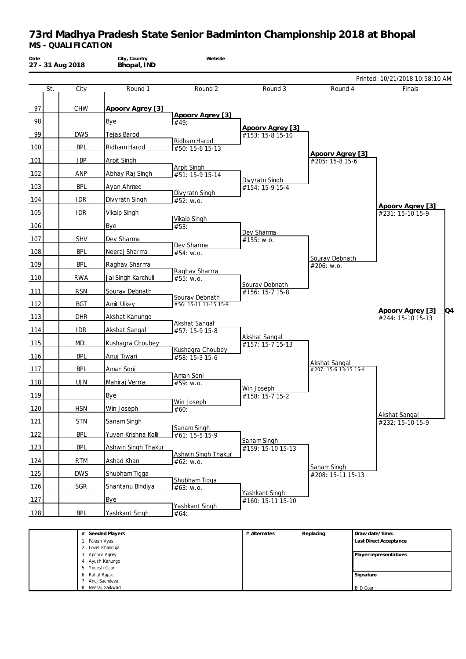| Date<br>27 - 31 Aug 2018 |            | City, Country<br>Bhopal, IND       | Website                                 |                                   |                       |                 |                                             |
|--------------------------|------------|------------------------------------|-----------------------------------------|-----------------------------------|-----------------------|-----------------|---------------------------------------------|
|                          |            |                                    |                                         |                                   |                       |                 | Printed: 10/21/2018 10:58:10 AM             |
| St.                      | City       | Round 1                            | Round 2                                 | Round 3                           | Round 4               |                 | Finals                                      |
| 97<br>98                 | <b>CHW</b> | Apoorv Agrey [3]<br>Bye            | Apoorv Agrey [3]<br>#49:                |                                   |                       |                 |                                             |
|                          |            |                                    |                                         | Apoorv Agrey [3]                  |                       |                 |                                             |
| 99                       | <b>DWS</b> | Tejas Barod                        | Ridham Harod                            | #153: 15-8 15-10                  |                       |                 |                                             |
| 100                      | <b>BPL</b> | Ridham Harod                       | #50: 15-6 15-13                         |                                   | Apoorv Agrey [3]      |                 |                                             |
| 101                      | <b>JBP</b> | Arpit Singh                        | Arpit Singh                             |                                   | #205: 15-8 15-6       |                 |                                             |
| 102                      | ANP        | Abhay Raj Singh                    | #51: 15-9 15-14                         |                                   |                       |                 |                                             |
| 103                      | <b>BPL</b> | Ayan Ahmed                         |                                         | Divyratn Singh<br>#154: 15-9 15-4 |                       |                 |                                             |
| 104                      | <b>IDR</b> | Divyratn Singh                     | Divyratn Singh<br>#52: w.o.             |                                   |                       |                 |                                             |
| 105                      | <b>IDR</b> | <b>Vikalp Singh</b>                |                                         |                                   |                       |                 | Apoorv Agrey [3]<br>#231: 15-10 15-9        |
| 106                      |            | Bye                                | <b>Vikalp Singh</b><br>#53:             |                                   |                       |                 |                                             |
|                          |            |                                    |                                         | Dev Sharma                        |                       |                 |                                             |
| 107                      | <b>SHV</b> | Dev Sharma                         | Dev Sharma                              | #155: w.o.                        |                       |                 |                                             |
| 108                      | <b>BPL</b> | Neeraj Sharma                      | #54: w.o.                               |                                   | Sourav Debnath        |                 |                                             |
| 109                      | <b>BPL</b> | Raghav Sharma                      | Raghav Sharma                           |                                   | #206: w.o.            |                 |                                             |
| 110                      | <b>RWA</b> | Jai Singh Karchuli                 | #55: w.o.                               |                                   |                       |                 |                                             |
| 111                      | <b>RSN</b> | Sourav Debnath                     |                                         | Sourav Debnath<br>#156: 15-7 15-8 |                       |                 |                                             |
| 112                      | <b>BGT</b> | Amit Uikey                         | Sourav Debnath<br>#56: 15-11 11-15 15-9 |                                   |                       |                 |                                             |
| 113                      | <b>DHR</b> | Akshat Kanungo                     |                                         |                                   |                       |                 | Q4<br>Apoorv Agrey [3]<br>#244: 15-10 15-13 |
| 114                      | <b>IDR</b> | <b>Akshat Sangal</b>               | Akshat Sangal<br>#57: 15-9 15-8         |                                   |                       |                 |                                             |
| 115                      | <b>MDL</b> | Kushagra Choubey                   |                                         | <b>Akshat Sangal</b>              |                       |                 |                                             |
|                          |            |                                    | Kushagra Choubey                        | #157: 15-7 15-13                  |                       |                 |                                             |
| 116                      | <b>BPL</b> | Anuj Tiwari                        | #58: 15-3 15-6                          |                                   | <b>Akshat Sangal</b>  |                 |                                             |
| 117                      | <b>BPL</b> | Aman Soni                          | Aman Soni                               |                                   | #207: 15-6 13-15 15-4 |                 |                                             |
| 118                      | <b>UJN</b> | Mahiraj Verma                      | #59: w.o.                               | Win Joseph                        |                       |                 |                                             |
| 119                      |            | Bye                                | Win Joseph                              | #158: 15-7 15-2                   |                       |                 |                                             |
| 120                      | <b>HSN</b> | Win Joseph                         | #60:                                    |                                   |                       |                 |                                             |
| 121                      | <b>STN</b> | Sanam Singh                        |                                         |                                   |                       |                 | Akshat Sangal<br>#232: 15-10 15-9           |
| 122                      | <b>BPL</b> | Yuvan Krishna Kolli                | Sanam Singh<br>#61: 15-5 15-9           |                                   |                       |                 |                                             |
| 123                      | <b>BPL</b> | Ashwin Singh Thakur                |                                         | Sanam Singh<br>#159: 15-10 15-13  |                       |                 |                                             |
| 124                      | <b>RTM</b> | Ashad Khan                         | Ashwin Singh Thakur                     |                                   |                       |                 |                                             |
|                          |            |                                    | #62: w.o.                               |                                   | Sanam Singh           |                 |                                             |
| 125                      | <b>DWS</b> | Shubham Tigga                      | Shubham Tigga                           |                                   | #208: 15-11 15-13     |                 |                                             |
| 126                      | SGR        | Shantanu Bindiya                   | #63: w.o.                               | Yashkant Singh                    |                       |                 |                                             |
| 127                      |            | <b>Bye</b>                         | Yashkant Singh                          | #160: 15-11 15-10                 |                       |                 |                                             |
| 128                      | <b>BPL</b> | Yashkant Singh                     | #64:                                    |                                   |                       |                 |                                             |
|                          |            |                                    |                                         |                                   |                       |                 |                                             |
|                          |            | # Seeded Players<br>1 Palash Vyas  |                                         | # Alternates                      | Replacing             | Draw date/time: | Last Direct Acceptance                      |
|                          |            | 2 Lovel Khanduja<br>3 Apoorv Agrey |                                         |                                   |                       |                 | Player representatives                      |
|                          |            | 4 Ayush Kanungo<br>5 Yogesh Gaur   |                                         |                                   |                       |                 |                                             |
|                          |            | 6 Rahul Rajak                      |                                         |                                   |                       | Signature       |                                             |

B D Gour

7 Anuj Sachdeva 8 Neeraj Gaikwad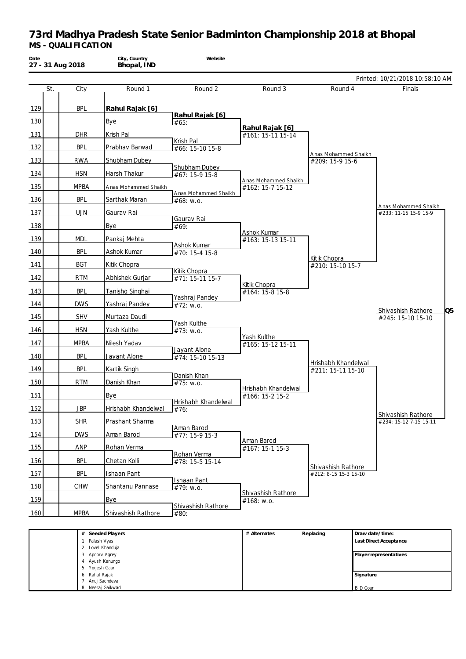| Date<br>27 - 31 Aug 2018 |               | City, Country<br>Bhopal, IND        | Website                           |                               |                       |                                                           |
|--------------------------|---------------|-------------------------------------|-----------------------------------|-------------------------------|-----------------------|-----------------------------------------------------------|
| St.                      | City          | Round 1                             | Round 2                           | Round 3                       | Round 4               | Printed: 10/21/2018 10:58:10 AM<br>Finals                 |
|                          |               |                                     |                                   |                               |                       |                                                           |
| 129                      | <b>BPL</b>    | Rahul Rajak [6]                     |                                   |                               |                       |                                                           |
| 130                      |               | Bye                                 | Rahul Rajak [6]<br>#65:           |                               |                       |                                                           |
| 131                      | <b>DHR</b>    | Krish Pal                           |                                   | Rahul Rajak [6]               |                       |                                                           |
|                          |               |                                     | Krish Pal                         | #161: 15-11 15-14             |                       |                                                           |
| 132                      | <b>BPL</b>    | Prabhav Barwad                      | #66: 15-10 15-8                   |                               | Anas Mohammed Shaikh  |                                                           |
| 133                      | <b>RWA</b>    | Shubham Dubey                       | Shubham Dubey                     |                               | #209: 15-9 15-6       |                                                           |
| 134                      | <b>HSN</b>    | Harsh Thakur                        | #67: 15-9 15-8                    | Anas Mohammed Shaikh          |                       |                                                           |
| 135                      | <b>MPBA</b>   | Anas Mohammed Shaikh                |                                   | #162: 15-7 15-12              |                       |                                                           |
| 136                      | <b>BPL</b>    | Sarthak Maran                       | Anas Mohammed Shaikh<br>#68: W.0. |                               |                       |                                                           |
| 137                      | <b>UJN</b>    | Gaurav Rai                          |                                   |                               |                       | Anas Mohammed Shaikh<br>#233: 11-15 15-9 15-9             |
| 138                      |               | Bye                                 | Gaurav Rai<br>#69:                |                               |                       |                                                           |
| 139                      | <b>MDL</b>    | Pankaj Mehta                        |                                   | <b>Ashok Kumar</b>            |                       |                                                           |
|                          |               |                                     | <b>Ashok Kumar</b>                | #163: 15-13 15-11             |                       |                                                           |
| 140                      | <b>BPL</b>    | Ashok Kumar                         | #70: 15-4 15-8                    |                               | Kitik Chopra          |                                                           |
| 141                      | <b>BGT</b>    | Kitik Chopra                        | Kitik Chopra                      |                               | #210: 15-10 15-7      |                                                           |
| 142                      | <b>RTM</b>    | Abhishek Gurjar                     | #71: 15-11 15-7                   | Kitik Chopra                  |                       |                                                           |
| 143                      | <b>BPL</b>    | Tanishq Singhai                     |                                   | #164: 15-8 15-8               |                       |                                                           |
| 144                      | <b>DWS</b>    | Yashraj Pandey                      | Yashraj Pandey<br>#72: w.o.       |                               |                       |                                                           |
| 145                      | <b>SHV</b>    | Murtaza Daudi                       |                                   |                               |                       | Q <sub>5</sub><br>Shivashish Rathore<br>#245: 15-10 15-10 |
| 146                      | <b>HSN</b>    | Yash Kulthe                         | Yash Kulthe<br>#73: w.o.          |                               |                       |                                                           |
| 147                      | <b>MPBA</b>   | Nilesh Yadav                        |                                   | Yash Kulthe                   |                       |                                                           |
|                          |               |                                     | Jayant Alone                      | #165: 15-12 15-11             |                       |                                                           |
| 148                      | <b>BPL</b>    | Jayant Alone                        | #74: 15-10 15-13                  |                               | Hrishabh Khandelwal   |                                                           |
| 149                      | BPL           | Kartik Singh                        | Danish Khan                       |                               | #211: 15-11 15-10     |                                                           |
| 150                      | <b>RTM</b>    | Danish Khan                         | #75: w.o.                         | Hrishabh Khandelwal           |                       |                                                           |
| 151                      |               | <b>Bye</b>                          | l Hrishabh Khandelwal             | #166: 15-2 15-2               |                       |                                                           |
| 152                      | <b>JBP</b>    | Hrishabh Khandelwal                 | #76:                              |                               |                       |                                                           |
| 153                      | <b>SHR</b>    | Prashant Sharma                     |                                   |                               |                       | Shivashish Rathore<br>#234: 15-12 7-15 15-11              |
| 154                      | <b>DWS</b>    | Aman Barod                          | Aman Barod<br>#77: 15-9 15-3      |                               |                       |                                                           |
| 155                      | ANP           | Rohan Verma                         |                                   | Aman Barod<br>#167: 15-1 15-3 |                       |                                                           |
|                          |               |                                     | Rohan Verma                       |                               |                       |                                                           |
| 156                      | <b>BPL</b>    | Chetan Kolli                        | #78: 15-5 15-14                   |                               | Shivashish Rathore    |                                                           |
| 157                      | <b>BPL</b>    | Ishaan Pant                         | Ishaan Pant                       |                               | #212: 8-15 15-3 15-10 |                                                           |
| 158                      | <b>CHW</b>    | Shantanu Pannase                    | #79: w.o.                         | Shivashish Rathore            |                       |                                                           |
| <u>159</u>               |               | <b>Bye</b>                          | Shivashish Rathore                | #168: w.o.                    |                       |                                                           |
| 160                      | <b>MPBA</b>   | Shivashish Rathore                  | #80:                              |                               |                       |                                                           |
|                          |               | # Seeded Players                    |                                   | # Alternates                  | Replacing             | Draw date/time:                                           |
|                          | 1 Palash Vyas |                                     |                                   |                               |                       | Last Direct Acceptance                                    |
|                          |               | 2 Lovel Khanduja<br>3 Apoorv Agrey  |                                   |                               |                       | Player representatives                                    |
|                          | 5             | 4 Ayush Kanungo<br>Yogesh Gaur      |                                   |                               |                       |                                                           |
|                          | 6 Rahul Rajak |                                     |                                   |                               |                       | Signature                                                 |
|                          |               | 7 Anuj Sachdeva<br>8 Neeraj Gaikwad |                                   |                               |                       | <b>B</b> D Gour                                           |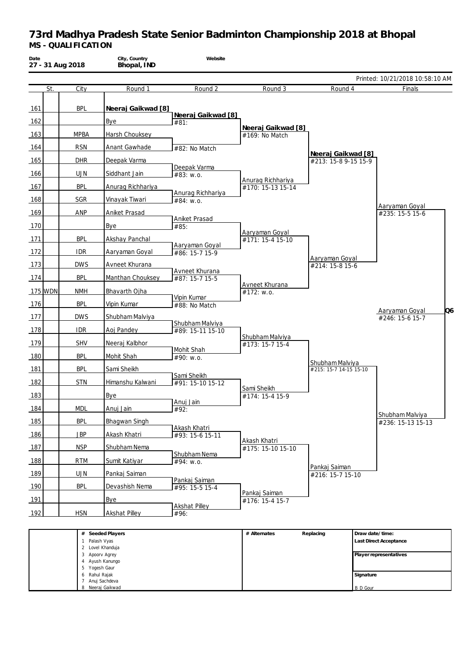| Date |         | 27 - 31 Aug 2018 | City, Country<br>Bhopal, IND | Website                             |                                        |                                            |                 |                                                     |
|------|---------|------------------|------------------------------|-------------------------------------|----------------------------------------|--------------------------------------------|-----------------|-----------------------------------------------------|
|      |         |                  |                              |                                     |                                        |                                            |                 | Printed: 10/21/2018 10:58:10 AM                     |
|      | St.     | City             | Round 1                      | Round 2                             | Round 3                                | Round 4                                    |                 | Finals                                              |
| 161  |         | <b>BPL</b>       | Neeraj Gaikwad [8]           | Neeraj Gaikwad [8]                  |                                        |                                            |                 |                                                     |
| 162  |         |                  | Bye                          | #81:                                | Neeraj Gaikwad [8]                     |                                            |                 |                                                     |
| 163  |         | <b>MPBA</b>      | Harsh Chouksey               |                                     | #169: No Match                         |                                            |                 |                                                     |
| 164  |         | <b>RSN</b>       | Anant Gawhade                | #82: No Match                       |                                        |                                            |                 |                                                     |
| 165  |         | <b>DHR</b>       | Deepak Varma                 |                                     |                                        | Neeraj Gaikwad [8]<br>#213: 15-8 9-15 15-9 |                 |                                                     |
| 166  |         | <b>UJN</b>       | Siddhant Jain                | Deepak Varma<br>#83: w.o.           |                                        |                                            |                 |                                                     |
| 167  |         | <b>BPL</b>       | Anurag Richhariya            |                                     | Anurag Richhariya<br>#170: 15-13 15-14 |                                            |                 |                                                     |
| 168  |         | SGR              | Vinayak Tiwari               | Anurag Richhariya<br>#84: w.o.      |                                        |                                            |                 |                                                     |
| 169  |         | ANP              | Aniket Prasad                |                                     |                                        |                                            |                 | Aaryaman Goyal<br>#235: 15-5 15-6                   |
| 170  |         |                  | Bye                          | Aniket Prasad<br>#85:               |                                        |                                            |                 |                                                     |
| 171  |         | <b>BPL</b>       | Akshay Panchal               |                                     | Aaryaman Goyal<br>#171: 15-4 15-10     |                                            |                 |                                                     |
| 172  |         | <b>IDR</b>       | Aaryaman Goyal               | Aaryaman Goyal<br>#86: 15-7 15-9    |                                        |                                            |                 |                                                     |
| 173  |         | <b>DWS</b>       | Avneet Khurana               |                                     |                                        | Aaryaman Goyal<br>#214: 15-8 15-6          |                 |                                                     |
| 174  |         | <b>BPL</b>       | Manthan Chouksey             | Avneet Khurana<br>#87: 15-7 15-5    |                                        |                                            |                 |                                                     |
|      | 175 WDN | <b>NMH</b>       | Bhavarth Ojha                |                                     | Avneet Khurana<br>#172: w.o.           |                                            |                 |                                                     |
| 176  |         | <b>BPL</b>       | Vipin Kumar                  | Vipin Kumar<br>#88: No Match        |                                        |                                            |                 |                                                     |
| 177  |         | <b>DWS</b>       | Shubham Malviya              |                                     |                                        |                                            |                 | Q <sub>6</sub><br>Aaryaman Goyal<br>#246: 15-6 15-7 |
| 178  |         | <b>IDR</b>       | Aoj Pandey                   | Shubham Malviya<br>#89: 15-11 15-10 |                                        |                                            |                 |                                                     |
|      |         | <b>SHV</b>       |                              |                                     | Shubham Malviya                        |                                            |                 |                                                     |
| 179  |         |                  | Neeraj Kalbhor               | Mohit Shah                          | #173: 15-7 15-4                        |                                            |                 |                                                     |
| 180  |         | <b>BPL</b>       | Mohit Shah                   | #90: w.o.                           |                                        | Shubham Malviya                            |                 |                                                     |
| 181  |         | <b>BPL</b>       | Sami Sheikh                  | Sami Sheikh                         |                                        | #215: 15-7 14-15 15-10                     |                 |                                                     |
| 182  |         | <b>STN</b>       | Himanshu Kalwani             | #91: 15-10 15-12                    | Sami Sheikh                            |                                            |                 |                                                     |
| 183  |         |                  | Bye                          | Anuj Jain                           | #174: 15-4 15-9                        |                                            |                 |                                                     |
| 184  |         | <b>MDL</b>       | Anuj Jain                    | #92:                                |                                        |                                            |                 | Shubham Malviya                                     |
| 185  |         | <b>BPL</b>       | Bhagwan Singh                | Akash Khatri                        |                                        |                                            |                 | #236: 15-13 15-13                                   |
| 186  |         | <b>JBP</b>       | Akash Khatri                 | #93: 15-6 15-11                     | Akash Khatri                           |                                            |                 |                                                     |
| 187  |         | <b>NSP</b>       | Shubham Nema                 | Shubham Nema                        | #175: 15-10 15-10                      |                                            |                 |                                                     |
| 188  |         | <b>RTM</b>       | Sumit Katiyar                | #94: w.o.                           |                                        | Pankaj Saiman                              |                 |                                                     |
| 189  |         | <b>UJN</b>       | Pankaj Saiman                | Pankaj Saiman                       |                                        | #216: 15-7 15-10                           |                 |                                                     |
| 190  |         | <b>BPL</b>       | Devashish Nema               | #95: 15-5 15-4                      | Pankaj Saiman                          |                                            |                 |                                                     |
| 191  |         |                  | <b>Bye</b>                   | <b>Akshat Pilley</b>                | #176: 15-4 15-7                        |                                            |                 |                                                     |
| 192  |         | <b>HSN</b>       | <b>Akshat Pilley</b>         | #96:                                |                                        |                                            |                 |                                                     |
|      |         |                  |                              |                                     |                                        |                                            |                 |                                                     |
|      |         | 1 Palash Vyas    | # Seeded Players             |                                     | # Alternates                           | Replacing                                  | Draw date/time: | Last Direct Acceptance                              |
|      |         | 3 Apoorv Agrey   | 2 Lovel Khanduja             |                                     |                                        |                                            |                 | Player representatives                              |
|      |         | 5 Yogesh Gaur    | 4 Ayush Kanungo              |                                     |                                        |                                            |                 |                                                     |
|      |         | 6 Rahul Rajak    |                              |                                     |                                        |                                            | Signature       |                                                     |

B D Gour

7 Anuj Sachdeva 8 Neeraj Gaikwad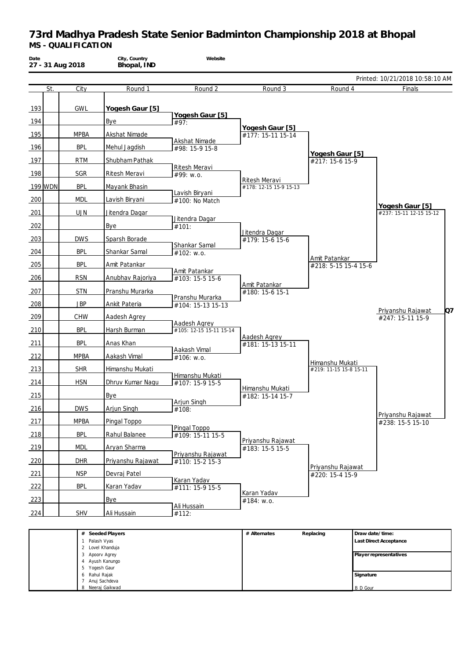| Date |         | 27 - 31 Aug 2018   | City, Country<br>Bhopal, IND                                          | Website                            |                                         |                                           |                 |                                                  |
|------|---------|--------------------|-----------------------------------------------------------------------|------------------------------------|-----------------------------------------|-------------------------------------------|-----------------|--------------------------------------------------|
|      |         |                    |                                                                       |                                    |                                         |                                           |                 | Printed: 10/21/2018 10:58:10 AM                  |
|      | St.     | City               | Round 1                                                               | Round 2                            | Round 3                                 | Round 4                                   |                 | Finals                                           |
| 193  |         | GWL                | Yogesh Gaur [5]                                                       | Yogesh Gaur [5]                    |                                         |                                           |                 |                                                  |
| 194  |         |                    | Bye                                                                   | #97:                               | Yogesh Gaur [5]                         |                                           |                 |                                                  |
| 195  |         | <b>MPBA</b>        | Akshat Nimade                                                         | Akshat Nimade                      | #177: 15-11 15-14                       |                                           |                 |                                                  |
| 196  |         | <b>BPL</b>         | Mehul Jagdish                                                         | #98: 15-9 15-8                     |                                         | Yogesh Gaur [5]                           |                 |                                                  |
| 197  |         | <b>RTM</b>         | Shubham Pathak                                                        |                                    |                                         | #217: 15-6 15-9                           |                 |                                                  |
| 198  |         | <b>SGR</b>         | Ritesh Meravi                                                         | <b>Ritesh Meravi</b><br>#99: w.o.  |                                         |                                           |                 |                                                  |
|      | 199 WDN | <b>BPL</b>         | Mayank Bhasin                                                         |                                    | Ritesh Meravi<br>#178: 12-15 15-9 15-13 |                                           |                 |                                                  |
| 200  |         | <b>MDL</b>         | Lavish Biryani                                                        | Lavish Biryani<br>#100: No Match   |                                         |                                           |                 |                                                  |
| 201  |         | <b>UJN</b>         | Jitendra Dagar                                                        |                                    |                                         |                                           |                 | Yogesh Gaur [5]<br>#237: 15-11 12-15 15-12       |
| 202  |         |                    | Bye                                                                   | Jitendra Dagar<br>#101:            |                                         |                                           |                 |                                                  |
| 203  |         | <b>DWS</b>         | Sparsh Borade                                                         |                                    | Jitendra Dagar                          |                                           |                 |                                                  |
|      |         | <b>BPL</b>         |                                                                       | Shankar Samal                      | #179: 15-6 15-6                         |                                           |                 |                                                  |
| 204  |         |                    | Shankar Samal                                                         | #102: w.o.                         |                                         | Amit Patankar                             |                 |                                                  |
| 205  |         | <b>BPL</b>         | Amit Patankar                                                         | Amit Patankar                      |                                         | #218: 5-15 15-4 15-6                      |                 |                                                  |
| 206  |         | <b>RSN</b>         | Anubhav Rajoriya                                                      | #103: 15-5 15-6                    | Amit Patankar                           |                                           |                 |                                                  |
| 207  |         | <b>STN</b>         | Pranshu Murarka                                                       | Pranshu Murarka                    | #180: 15-6 15-1                         |                                           |                 |                                                  |
| 208  |         | <b>JBP</b>         | Ankit Pateria                                                         | #104: 15-13 15-13                  |                                         |                                           |                 | Q7<br>Priyanshu Rajawat                          |
| 209  |         | <b>CHW</b>         | Aadesh Agrey                                                          | Aadesh Agrey                       |                                         |                                           |                 | #247: 15-11 15-9                                 |
| 210  |         | <b>BPL</b>         | Harsh Burman                                                          | #105: 12-15 15-11 15-14            |                                         |                                           |                 |                                                  |
| 211  |         | <b>BPL</b>         | Anas Khan                                                             |                                    | Aadesh Agrey<br>#181: 15-13 15-11       |                                           |                 |                                                  |
| 212  |         | <b>MPBA</b>        | Aakash Vimal                                                          | Aakash Vimal<br>#106: w.o.         |                                         |                                           |                 |                                                  |
| 213  |         | <b>SHR</b>         | Himanshu Mukati                                                       |                                    |                                         | Himanshu Mukati<br>#219: 11-15 15-8 15-11 |                 |                                                  |
| 214  |         | <b>HSN</b>         | Dhruv Kumar Nagu                                                      | Himanshu Mukati<br>#107: 15-9 15-5 |                                         |                                           |                 |                                                  |
| 215  |         |                    | Bye                                                                   |                                    | Himanshu Mukati<br>#182: 15-14 15-7     |                                           |                 |                                                  |
| 216  |         | <b>DWS</b>         | Arjun Singh                                                           | Arjun Singh<br>#108:               |                                         |                                           |                 |                                                  |
| 217  |         | <b>MPBA</b>        | Pingal Toppo                                                          |                                    |                                         |                                           |                 | Priyanshu Rajawat                                |
|      |         | <b>BPL</b>         |                                                                       | Pingal Toppo                       |                                         |                                           |                 | #238: 15-5 15-10                                 |
| 218  |         |                    | Rahul Balanee                                                         | #109: 15-11 15-5                   | Priyanshu Rajawat                       |                                           |                 |                                                  |
| 219  |         | <b>MDL</b>         | Aryan Sharma                                                          | Priyanshu Rajawat                  | #183: 15-5 15-5                         |                                           |                 |                                                  |
| 220  |         | <b>DHR</b>         | Priyanshu Rajawat                                                     | #110: 15-2 15-3                    |                                         | Priyanshu Rajawat                         |                 |                                                  |
| 221  |         | <b>NSP</b>         | Devraj Patel                                                          | Karan Yadav                        |                                         | #220: 15-4 15-9                           |                 |                                                  |
| 222  |         | <b>BPL</b>         | Karan Yadav                                                           | #111: 15-9 15-5                    | Karan Yadav                             |                                           |                 |                                                  |
| 223  |         |                    | <b>Bye</b>                                                            | Ali Hussain                        | #184: w.o.                              |                                           |                 |                                                  |
| 224  |         | <b>SHV</b>         | Ali Hussain                                                           | #112:                              |                                         |                                           |                 |                                                  |
|      |         | #<br>1 Palash Vyas | Seeded Players<br>2 Lovel Khanduja<br>3 Apoorv Agrey<br>Ayush Kanungo |                                    | # Alternates                            | Replacing                                 | Draw date/time: | Last Direct Acceptance<br>Player representatives |

**Signature** B D Gour

 Yogesh Gaur Rahul Rajak Anuj Sachdeva Neeraj Gaikwad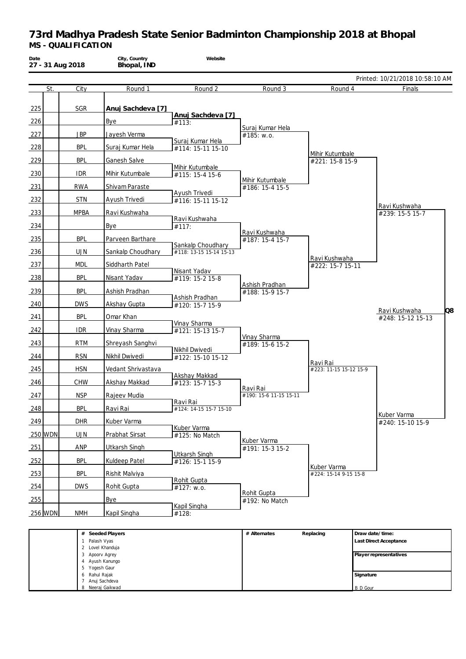| Date<br>27 - 31 Aug 2018 |             | City, Country<br>Bhopal, IND      | Website                                      |                                    |                                   |                                 |
|--------------------------|-------------|-----------------------------------|----------------------------------------------|------------------------------------|-----------------------------------|---------------------------------|
|                          |             |                                   |                                              |                                    |                                   | Printed: 10/21/2018 10:58:10 AM |
| St.                      | City        | Round 1                           | Round 2                                      | Round 3                            | Round 4                           | Finals                          |
| 225                      | SGR         | Anuj Sachdeva [7]                 |                                              |                                    |                                   |                                 |
| 226                      |             | Bye                               | Anuj Sachdeva [7]<br>#113:                   |                                    |                                   |                                 |
| 227                      | <b>JBP</b>  | Jayesh Verma                      |                                              | Suraj Kumar Hela<br>#185: w.o.     |                                   |                                 |
| 228                      | <b>BPL</b>  | Suraj Kumar Hela                  | Suraj Kumar Hela                             |                                    |                                   |                                 |
| 229                      | <b>BPL</b>  | Ganesh Salve                      | #114: 15-11 15-10                            |                                    | Mihir Kutumbale                   |                                 |
|                          |             |                                   | Mihir Kutumbale                              |                                    | #221: 15-8 15-9                   |                                 |
| 230                      | <b>IDR</b>  | Mihir Kutumbale                   | #115: 15-4 15-6                              | Mihir Kutumbale                    |                                   |                                 |
| 231                      | <b>RWA</b>  | Shivam Paraste                    | Ayush Trivedi                                | #186: 15-4 15-5                    |                                   |                                 |
| 232                      | <b>STN</b>  | Ayush Trivedi                     | #116: 15-11 15-12                            |                                    |                                   | Ravi Kushwaha                   |
| 233                      | <b>MPBA</b> | Ravi Kushwaha                     | Ravi Kushwaha                                |                                    |                                   | #239: 15-5 15-7                 |
| 234                      |             | <b>Bye</b>                        | #117:                                        |                                    |                                   |                                 |
| 235                      | <b>BPL</b>  | Parveen Barthare                  |                                              | Ravi Kushwaha<br>#187: 15-4 15-7   |                                   |                                 |
| 236                      | <b>UJN</b>  | Sankalp Choudhary                 | Sankalp Choudhary<br>#118: 13-15 15-14 15-13 |                                    |                                   |                                 |
| 237                      | <b>MDL</b>  | Siddharth Patel                   |                                              |                                    | Ravi Kushwaha<br>#222: 15-7 15-11 |                                 |
| 238                      | <b>BPL</b>  | Nisant Yadav                      | Nisant Yadav<br>#119: 15-2 15-8              |                                    |                                   |                                 |
| 239                      | <b>BPL</b>  | Ashish Pradhan                    |                                              | Ashish Pradhan                     |                                   |                                 |
|                          |             |                                   | Ashish Pradhan                               | #188: 15-9 15-7                    |                                   |                                 |
| 240                      | <b>DWS</b>  | Akshay Gupta                      | #120: 15-7 15-9                              |                                    |                                   | Q8<br>Ravi Kushwaha             |
| 241                      | <b>BPL</b>  | Omar Khan                         | Vinay Sharma                                 |                                    |                                   | #248: 15-12 15-13               |
| 242                      | <b>IDR</b>  | Vinay Sharma                      | #121: 15-13 15-7                             | Vinay Sharma                       |                                   |                                 |
| 243                      | <b>RTM</b>  | Shreyash Sanghvi                  | Nikhil Dwivedi                               | #189: 15-6 15-2                    |                                   |                                 |
| 244                      | <b>RSN</b>  | Nikhil Dwivedi                    | #122: 15-10 15-12                            |                                    | Ravi Rai                          |                                 |
| 245                      | <b>HSN</b>  | Vedant Shrivastava                |                                              |                                    | #223: 11-15 15-12 15-9            |                                 |
| 246                      | <b>CHW</b>  | Akshay Makkad                     | Akshay Makkad<br>#123: 15-7 15-3             |                                    |                                   |                                 |
| 247                      | <b>NSP</b>  | Rajeev Mudia                      |                                              | Ravi Rai<br>#190: 15-6 11-15 15-11 |                                   |                                 |
| 248                      | <b>BPL</b>  | Ravi Rai                          | Ravi Rai<br>#124: 14-15 15-7 15-10           |                                    |                                   |                                 |
| 249                      | <b>DHR</b>  | Kuber Varma                       |                                              |                                    |                                   | Kuber Varma<br>#240: 15-10 15-9 |
| 250 WDN                  | <b>UJN</b>  | Prabhat Sirsat                    | Kuber Varma                                  |                                    |                                   |                                 |
|                          |             |                                   | #125: No Match                               | Kuber Varma                        |                                   |                                 |
| 251                      | ANP         | <b>Utkarsh Singh</b>              | <b>Utkarsh Singh</b>                         | #191: 15-3 15-2                    |                                   |                                 |
| 252                      | <b>BPL</b>  | <b>Kuldeep Patel</b>              | #126: 15-1 15-9                              |                                    | Kuber Varma                       |                                 |
| 253                      | <b>BPL</b>  | Rishit Malviya                    | Rohit Gupta                                  |                                    | #224: 15-14 9-15 15-8             |                                 |
| 254                      | <b>DWS</b>  | Rohit Gupta                       | #127: w.o.                                   | Rohit Gupta                        |                                   |                                 |
| 255                      |             | <b>Bye</b>                        |                                              | #192: No Match                     |                                   |                                 |
| 256 WDN                  | <b>NMH</b>  | Kapil Singha                      | <b>Kapil Singha</b><br>#128:                 |                                    |                                   |                                 |
|                          |             | # Seeded Players                  |                                              | # Alternates                       | Replacing                         | Draw date/time:                 |
|                          |             | 1 Palash Vyas<br>2 Lovel Khanduja |                                              |                                    |                                   | Last Direct Acceptance          |
|                          |             | 3 Apoorv Agrey<br>4 Ayush Kanungo |                                              |                                    |                                   | Player representatives          |
|                          |             | Yogesh Gaur                       |                                              |                                    |                                   |                                 |

**Signature** B D Gour

6 Rahul Rajak 7 Anuj Sachdeva 8 Neeraj Gaikwad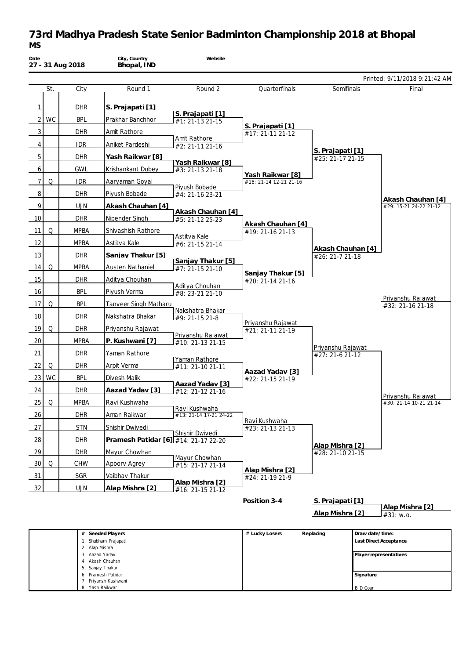# **73rd Madhya Pradesh State Senior Badminton Championship 2018 at Bhopal** *MS*

| Date |           | 27 - 31 Aug 2018   | City, Country<br>Bhopal, IND         | Website                              |                                       |                                      |                 |                               |
|------|-----------|--------------------|--------------------------------------|--------------------------------------|---------------------------------------|--------------------------------------|-----------------|-------------------------------|
|      |           |                    |                                      |                                      |                                       |                                      |                 | Printed: 9/11/2018 9:21:42 AM |
|      | St.       | City               | Round 1                              | Round 2                              | Quarterfinals                         | Semifinals                           |                 | Final                         |
| 1    |           | <b>DHR</b>         | S. Prajapati [1]                     |                                      |                                       |                                      |                 |                               |
| 2    | <b>WC</b> | <b>BPL</b>         | Prakhar Banchhor                     | S. Prajapati [1]<br>#1: 21-13 21-15  |                                       |                                      |                 |                               |
| 3    |           | <b>DHR</b>         | Amit Rathore                         |                                      | S. Prajapati [1]                      |                                      |                 |                               |
| 4    |           | <b>IDR</b>         | Aniket Pardeshi                      | Amit Rathore                         | #17: 21-11 21-12                      |                                      |                 |                               |
|      |           |                    |                                      | #2: 21-11 21-16                      |                                       | S. Prajapati [1]                     |                 |                               |
| 5    |           | <b>DHR</b>         | Yash Raikwar [8]                     | Yash Raikwar [8]                     |                                       | #25: 21-17 21-15                     |                 |                               |
| 6    |           | <b>GWL</b>         | Krishankant Dubey                    | #3: 21-13 21-18                      | Yash Raikwar [8]                      |                                      |                 |                               |
| 7    | Q         | <b>IDR</b>         | Aaryaman Goyal                       | Piyush Bobade                        | #18: 21-14 12-21 21-16                |                                      |                 |                               |
| 8    |           | <b>DHR</b>         | Piyush Bobade                        | #4: 21-16 23-21                      |                                       |                                      |                 | Akash Chauhan [4]             |
| 9    |           | <b>UJN</b>         | Akash Chauhan [4]                    | Akash Chauhan [4]                    |                                       |                                      |                 | #29: 15-21 24-22 21-12        |
| 10   |           | <b>DHR</b>         | Nipender Singh                       | #5: 21-12 25-23                      | Akash Chauhan [4]                     |                                      |                 |                               |
| 11   | Q         | <b>MPBA</b>        | Shivashish Rathore                   |                                      | #19: 21-16 21-13                      |                                      |                 |                               |
| 12   |           | <b>MPBA</b>        | Astitva Kale                         | Astitva Kale<br>#6: 21-15 21-14      |                                       |                                      |                 |                               |
| 13   |           | <b>DHR</b>         | Sanjay Thakur [5]                    |                                      |                                       | Akash Chauhan [4]<br>#26: 21-7 21-18 |                 |                               |
| 14   | Q         | <b>MPBA</b>        | Austen Nathaniel                     | Sanjay Thakur [5]<br>#7: 21-15 21-10 |                                       |                                      |                 |                               |
| 15   |           | <b>DHR</b>         | Aditya Chouhan                       |                                      | Sanjay Thakur [5]<br>#20: 21-14 21-16 |                                      |                 |                               |
| 16   |           | <b>BPL</b>         | Piyush Verma                         | Aditya Chouhan<br>#8: 23-21 21-10    |                                       |                                      |                 |                               |
| 17   | Q         | <b>BPL</b>         | Tanveer Singh Matharu                |                                      |                                       |                                      |                 | Priyanshu Rajawat             |
| 18   |           | <b>DHR</b>         | Nakshatra Bhakar                     | Nakshatra Bhakar                     |                                       |                                      |                 | #32: 21-16 21-18              |
| 19   | Q         | <b>DHR</b>         | Priyanshu Rajawat                    | #9: 21-15 21-8                       | Priyanshu Rajawat                     |                                      |                 |                               |
|      |           |                    |                                      | Priyanshu Rajawat                    | #21: 21-11 21-19                      |                                      |                 |                               |
| 20   |           | <b>MPBA</b>        | P. Kushwani [7]                      | #10: 21-13 21-15                     |                                       | Priyanshu Rajawat                    |                 |                               |
| 21   |           | <b>DHR</b>         | Yaman Rathore                        | Yaman Rathore                        |                                       | #27: 21-6 21-12                      |                 |                               |
| 22   | Q         | <b>DHR</b>         | Arpit Verma                          | #11: 21-10 21-11                     | Aazad Yadav [3]                       |                                      |                 |                               |
| 23   | <b>WC</b> | <b>BPL</b>         | Divesh Malik                         | Aazad Yadav [3]                      | #22: 21-15 21-19                      |                                      |                 |                               |
| 24   |           | <b>DHR</b>         | Aazad Yadav [3]                      | #12: 21-12 21-16                     |                                       |                                      |                 | Priyanshu Rajawat             |
| 25   | Q         | <b>MPBA</b>        | Ravi Kushwaha                        | Ravi Kushwaha                        |                                       |                                      |                 | #30: 21-14 10-21 21-14        |
| 26   |           | dhr                | Aman Raikwar                         | #13: 21-14 17-21 24-22               |                                       |                                      |                 |                               |
| 27   |           | <b>STN</b>         | Shishir Dwivedi                      |                                      | Ravi Kushwaha<br>#23: 21-13 21-13     |                                      |                 |                               |
| 28   |           | <b>DHR</b>         | Pramesh Patidar [6] #14: 21-17 22-20 | Shishir Dwivedi                      |                                       |                                      |                 |                               |
| 29   |           | <b>DHR</b>         | Mayur Chowhan                        |                                      |                                       | Alap Mishra [2]<br>#28: 21-10 21-15  |                 |                               |
| 30   | Q         | CHW                | Apoorv Agrey                         | Mayur Chowhan<br>#15: 21-17 21-14    |                                       |                                      |                 |                               |
| 31   |           | SGR                | Vaibhav Thakur                       |                                      | Alap Mishra [2]<br>#24: 21-19 21-9    |                                      |                 |                               |
| 32   |           | <b>UJN</b>         | Alap Mishra [2]                      | Alap Mishra [2]                      |                                       |                                      |                 |                               |
|      |           |                    |                                      | #16: 21-15 21-12                     | Position 3-4                          |                                      |                 |                               |
|      |           |                    |                                      |                                      |                                       | S. Prajapati [1]                     |                 | Alap Mishra [2]               |
|      |           |                    |                                      |                                      |                                       | Alap Mishra [2]                      |                 | #31: w.o.                     |
|      |           |                    | Seeded Players                       |                                      | # Lucky Losers                        | Replacing                            | Draw date/time: |                               |
|      |           |                    | 1 Shubham Prajapati                  |                                      |                                       |                                      |                 | Last Direct Acceptance        |
|      |           | 2 Alap Mishra<br>3 | Aazad Yadav                          |                                      |                                       |                                      |                 | Player representatives        |
|      |           | 4<br>5             | Akash Chauhan<br>Sanjay Thakur       |                                      |                                       |                                      |                 |                               |
|      |           |                    | 6 Pramesh Patidar                    |                                      |                                       |                                      | Signature       |                               |

B D Gour

7 Priyansh Kushwani 8 Yash Raikwar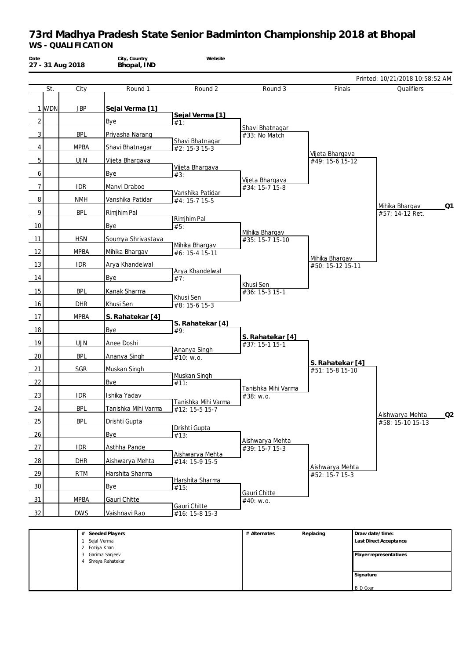| Date           |         | 27 - 31 Aug 2018              | City, Country<br>Bhopal, IND           | Website                                            |                                    |                                    |                 |                                     |    |
|----------------|---------|-------------------------------|----------------------------------------|----------------------------------------------------|------------------------------------|------------------------------------|-----------------|-------------------------------------|----|
|                |         |                               |                                        |                                                    |                                    |                                    |                 | Printed: 10/21/2018 10:58:52 AM     |    |
|                | St.     | City                          | Round 1                                | Round 2                                            | Round 3                            | Finals                             |                 | Qualifiers                          |    |
|                | $1$ WDN | <b>JBP</b>                    | Sejal Verma [1]                        |                                                    |                                    |                                    |                 |                                     |    |
| 2              |         |                               | Bye                                    | Sejal Verma [1]<br>#1:                             |                                    |                                    |                 |                                     |    |
|                |         |                               |                                        |                                                    | Shavi Bhatnagar                    |                                    |                 |                                     |    |
| 3              |         | <b>BPL</b>                    | Priyasha Narang                        | Shavi Bhatnagar                                    | #33: No Match                      |                                    |                 |                                     |    |
| 4              |         | <b>MPBA</b>                   | Shavi Bhatnagar                        | $#2: 15-315-3$                                     |                                    | Vijeta Bhargava                    |                 |                                     |    |
| 5              |         | <b>UJN</b>                    | Vijeta Bhargava                        | Vijeta Bhargava                                    |                                    | #49: 15-6 15-12                    |                 |                                     |    |
| 6              |         |                               | Bye                                    | #3:                                                | Vijeta Bhargava                    |                                    |                 |                                     |    |
| $\overline{7}$ |         | <b>IDR</b>                    | Manvi Draboo                           | Vanshika Patidar                                   | #34: 15-7 15-8                     |                                    |                 |                                     |    |
| 8              |         | <b>NMH</b>                    | Vanshika Patidar                       | #4: 15-7 15-5                                      |                                    |                                    |                 | Mihika Bhargav                      | Q1 |
| 9              |         | <b>BPL</b>                    | Rimjhim Pal                            |                                                    |                                    |                                    |                 | #57: 14-12 Ret.                     |    |
| 10             |         |                               | Bye                                    | Rimjhim Pal<br>#5:                                 |                                    |                                    |                 |                                     |    |
| 11             |         | <b>HSN</b>                    | Soumya Shrivastava                     |                                                    | Mihika Bhargav<br>#35: 15-7 15-10  |                                    |                 |                                     |    |
| 12             |         | <b>MPBA</b>                   | Mihika Bhargav                         | Mihika Bhargav<br>#6: 15-4 15-11                   |                                    |                                    |                 |                                     |    |
| 13             |         | <b>IDR</b>                    | Arya Khandelwal                        |                                                    |                                    | Mihika Bhargav<br>#50: 15-12 15-11 |                 |                                     |    |
| 14             |         |                               | Bye                                    | Arya Khandelwal<br>#7:                             |                                    |                                    |                 |                                     |    |
|                |         |                               |                                        |                                                    | Khusi Sen                          |                                    |                 |                                     |    |
| 15             |         | <b>BPL</b>                    | Kanak Sharma                           | Khusi Sen                                          | #36: 15-3 15-1                     |                                    |                 |                                     |    |
| 16             |         | <b>DHR</b>                    | Khusi Sen                              | #8: 15-6 15-3                                      |                                    |                                    |                 |                                     |    |
| 17             |         | <b>MPBA</b>                   | S. Rahatekar [4]                       | S. Rahatekar [4]                                   |                                    |                                    |                 |                                     |    |
| 18             |         |                               | Bye                                    | #9:                                                | S. Rahatekar [4]                   |                                    |                 |                                     |    |
| 19             |         | <b>UJN</b>                    | Anee Doshi                             | Ananya Singh                                       | #37: 15-1 15-1                     |                                    |                 |                                     |    |
| 20             |         | <b>BPL</b>                    | Ananya Singh                           | #10: w.o.                                          |                                    | S. Rahatekar [4]                   |                 |                                     |    |
| 21             |         | SGR                           | Muskan Singh                           | Muskan Singh                                       |                                    | #51: 15-8 15-10                    |                 |                                     |    |
| 22             |         |                               | Bye                                    | #11:                                               |                                    |                                    |                 |                                     |    |
| 23             |         | <b>IDR</b>                    | Ishika Yadav                           |                                                    | Tanishka Mihi Varma<br>#38: w.o.   |                                    |                 |                                     |    |
| 24             |         | <b>BPL</b>                    | Tanishka Mihi Varma                    | l Tanishka Mihi Varma<br>$\overline{412:15-515-7}$ |                                    |                                    |                 |                                     |    |
| 25             |         | <b>BPL</b>                    | Drishti Gupta                          |                                                    |                                    |                                    |                 | Aishwarya Mehta<br>#58: 15-10 15-13 | Q2 |
| 26             |         |                               | Bye                                    | Drishti Gupta<br>#13:                              |                                    |                                    |                 |                                     |    |
| 27             |         | <b>IDR</b>                    | Asthha Pande                           |                                                    | Aishwarya Mehta<br>$#39: 15-715-3$ |                                    |                 |                                     |    |
| 28             |         | DHR                           | Aishwarya Mehta                        | Aishwarya Mehta                                    |                                    |                                    |                 |                                     |    |
|                |         |                               |                                        | #14: 15-9 15-5                                     |                                    | Aishwarya Mehta                    |                 |                                     |    |
| 29             |         | <b>RTM</b>                    | Harshita Sharma                        | Harshita Sharma                                    |                                    | #52: 15-7 15-3                     |                 |                                     |    |
| 30             |         |                               | Bye                                    | #15:                                               | Gauri Chitte                       |                                    |                 |                                     |    |
| 31             |         | <b>MPBA</b>                   | Gauri Chitte                           | Gauri Chitte                                       | #40: w.o.                          |                                    |                 |                                     |    |
| 32             |         | <b>DWS</b>                    | Vaishnavi Rao                          | #16: 15-8 15-3                                     |                                    |                                    |                 |                                     |    |
|                |         |                               | # Seeded Players                       |                                                    | # Alternates                       | Replacing                          |                 | Draw date/time:                     |    |
|                |         | $\mathbf{1}$<br>2 Foziya Khan | Sejal Verma                            |                                                    |                                    |                                    |                 | Last Direct Acceptance              |    |
|                |         |                               | 3 Garima Sanjeev<br>4 Shreya Rahatekar |                                                    |                                    |                                    |                 | Player representatives              |    |
|                |         |                               |                                        |                                                    |                                    |                                    |                 |                                     |    |
|                |         |                               |                                        |                                                    |                                    |                                    | Signature       |                                     |    |
|                |         |                               |                                        |                                                    |                                    |                                    | <b>B</b> D Gour |                                     |    |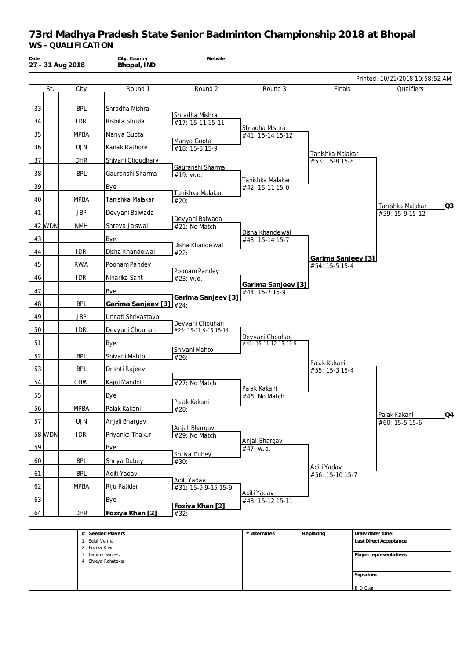| Date |        | 27 - 31 Aug 2018               | City, Country<br>Bhopal, IND | Website                            |                                      |                    |           |                                     |                |
|------|--------|--------------------------------|------------------------------|------------------------------------|--------------------------------------|--------------------|-----------|-------------------------------------|----------------|
|      |        |                                |                              |                                    |                                      |                    |           | Printed: 10/21/2018 10:58:52 AM     |                |
|      | St.    | City                           | Round 1                      | Round 2                            | Round 3                              | Finals             |           | Qualifiers                          |                |
| 33   |        | <b>BPL</b>                     | Shradha Mishra               |                                    |                                      |                    |           |                                     |                |
|      |        |                                |                              | Shradha Mishra                     |                                      |                    |           |                                     |                |
| 34   |        | <b>IDR</b>                     | Rishita Shukla               | #17: 15-11 15-11                   | Shradha Mishra                       |                    |           |                                     |                |
| 35   |        | <b>MPBA</b>                    | Manya Gupta                  | Manya Gupta                        | #41: 15-14 15-12                     |                    |           |                                     |                |
| 36   |        | <b>UJN</b>                     | Kanak Rathore                | #18: 15-8 15-9                     |                                      | Tanishka Malakar   |           |                                     |                |
| 37   |        | <b>DHR</b>                     | Shivani Choudhary            |                                    |                                      | #53: 15-8 15-8     |           |                                     |                |
| 38   |        | <b>BPL</b>                     | Gauranshi Sharma             | Gauranshi Sharma<br>#19: w.o.      |                                      |                    |           |                                     |                |
| 39   |        |                                | Bye                          |                                    | Tanishka Malakar<br>#42: 15-11 15-0  |                    |           |                                     |                |
| 40   |        | <b>MPBA</b>                    | Tanishka Malakar             | Tanishka Malakar<br>#20:           |                                      |                    |           |                                     |                |
| 41   |        | <b>JBP</b>                     | Devyani Balwada              |                                    |                                      |                    |           | Tanishka Malakar<br>#59: 15-9 15-12 | Q <sub>3</sub> |
|      |        |                                |                              | Devyani Balwada                    |                                      |                    |           |                                     |                |
|      | 42 WDN | <b>NMH</b>                     | Shreya Jaiswal               | #21: No Match                      | Disha Khandelwal                     |                    |           |                                     |                |
| 43   |        |                                | Bye                          | Disha Khandelwal                   | #43: 15-14 15-7                      |                    |           |                                     |                |
| 44   |        | <b>IDR</b>                     | Disha Khandelwal             | #22:                               |                                      | Garima Sanjeev [3] |           |                                     |                |
| 45   |        | <b>RWA</b>                     | Poonam Pandey                |                                    |                                      | #54: 15-5 15-4     |           |                                     |                |
| 46   |        | <b>IDR</b>                     | Niharika Sant                | Poonam Pandey<br>#23: w.o.         |                                      |                    |           |                                     |                |
| 47   |        |                                | <b>Bye</b>                   |                                    | Garima Sanjeev [3]<br>#44: 15-7 15-9 |                    |           |                                     |                |
| 48   |        | <b>BPL</b>                     | Garima Sanjeev [3]           | Garima Sanjeev [3]<br>#24:         |                                      |                    |           |                                     |                |
| 49   |        | <b>JBP</b>                     | Unnati Shrivastava           |                                    |                                      |                    |           |                                     |                |
|      |        |                                |                              | Devyani Chouhan                    |                                      |                    |           |                                     |                |
| 50   |        | <b>IDR</b>                     | Devyani Chouhan              | #25: 15-11 9-15 15-14              | Devyani Chouhan                      |                    |           |                                     |                |
| 51   |        |                                | Bye                          | Shivani Mahto                      | #45: 15-11 12-15 15-5                |                    |           |                                     |                |
| 52   |        | <b>BPL</b>                     | Shivani Mahto                | #26:                               |                                      | Palak Kakani       |           |                                     |                |
| 53   |        | <b>BPL</b>                     | Drishti Rajeev               |                                    |                                      | #55: 15-3 15-4     |           |                                     |                |
| 54   |        | CHW                            | Kajol Mandol                 | #27: No Match                      |                                      |                    |           |                                     |                |
| 55   |        |                                | Bye                          |                                    | Palak Kakani<br>#46: No Match        |                    |           |                                     |                |
| 56   |        | <b>MPBA</b>                    | Palak Kakani                 | Palak Kakani<br>#28:               |                                      |                    |           |                                     |                |
|      |        |                                |                              |                                    |                                      |                    |           | Palak Kakani                        | Q4             |
| 57   |        | <b>UJN</b>                     | Anjali Bhargav               | Anjali Bhargav                     |                                      |                    |           | #60: 15-5 15-6                      |                |
|      | 58 WDN | <b>IDR</b>                     | Priyanka Thakur              | #29: No Match                      | Anjali Bhargav                       |                    |           |                                     |                |
| 59   |        |                                | <b>Bye</b>                   | Shriya Dubey                       | #47: w.o.                            |                    |           |                                     |                |
| 60   |        | <b>BPL</b>                     | Shriya Dubey                 | #30:                               |                                      | Aditi Yadav        |           |                                     |                |
| 61   |        | <b>BPL</b>                     | Aditi Yadav                  |                                    |                                      | #56: 15-10 15-7    |           |                                     |                |
| 62   |        | <b>MPBA</b>                    | Riju Patidar                 | Aditi Yadav<br>#31: 15-9 9-15 15-9 |                                      |                    |           |                                     |                |
| 63   |        |                                | <b>Bye</b>                   |                                    | Aditi Yadav<br>#48: 15-12 15-11      |                    |           |                                     |                |
| 64   |        | <b>DHR</b>                     | Foziya Khan [2]              | Foziya Khan [2]                    |                                      |                    |           |                                     |                |
|      |        |                                |                              | #32:                               |                                      |                    |           |                                     |                |
|      |        |                                | # Seeded Players             |                                    | # Alternates                         | Replacing          |           | Draw date/time:                     |                |
|      |        | 1 Sejal Verma<br>2 Foziya Khan |                              |                                    |                                      |                    |           | Last Direct Acceptance              |                |
|      |        |                                | 3 Garima Sanjeev             |                                    |                                      |                    |           | Player representatives              |                |
|      |        |                                | 4 Shreya Rahatekar           |                                    |                                      |                    |           |                                     |                |
|      |        |                                |                              |                                    |                                      |                    | Signature |                                     |                |

B D Gour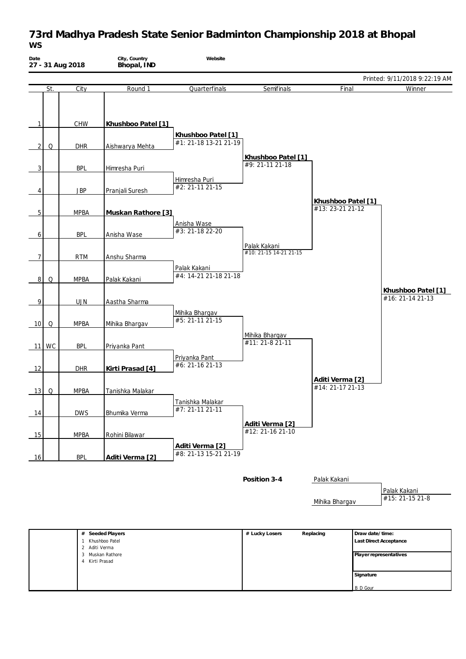## **73rd Madhya Pradesh State Senior Badminton Championship 2018 at Bhopal** *WS*

| Date           |          | 27 - 31 Aug 2018 | City, Country<br>Bhopal, IND       | Website                           |                                     |                                        |                 |                                        |
|----------------|----------|------------------|------------------------------------|-----------------------------------|-------------------------------------|----------------------------------------|-----------------|----------------------------------------|
|                |          |                  |                                    |                                   |                                     |                                        |                 | Printed: 9/11/2018 9:22:19 AM          |
|                | St.      | City             | Round 1                            | Quarterfinals                     | Semifinals                          | Final                                  |                 | Winner                                 |
|                |          |                  |                                    |                                   |                                     |                                        |                 |                                        |
|                |          |                  |                                    |                                   |                                     |                                        |                 |                                        |
| $\mathbf{1}$   |          | CHW              | Khushboo Patel [1]                 | Khushboo Patel [1]                |                                     |                                        |                 |                                        |
| $\overline{2}$ | Q        | <b>DHR</b>       | Aishwarya Mehta                    | #1: 21-18 13-21 21-19             |                                     |                                        |                 |                                        |
|                |          |                  |                                    |                                   | Khushboo Patel [1]                  |                                        |                 |                                        |
| $\overline{3}$ |          | <b>BPL</b>       | Himresha Puri                      |                                   | #9: 21-11 21-18                     |                                        |                 |                                        |
|                |          |                  |                                    | Himresha Puri                     |                                     |                                        |                 |                                        |
| 4              |          | <b>JBP</b>       | Pranjali Suresh                    | #2: 21-11 21-15                   |                                     |                                        |                 |                                        |
|                |          |                  |                                    |                                   |                                     | Khushboo Patel [1]<br>#13: 23-21 21-12 |                 |                                        |
| 5              |          | <b>MPBA</b>      | Muskan Rathore [3]                 | Anisha Wase                       |                                     |                                        |                 |                                        |
| 6              |          | <b>BPL</b>       | Anisha Wase                        | #3: 21-18 22-20                   |                                     |                                        |                 |                                        |
|                |          |                  |                                    |                                   | Palak Kakani                        |                                        |                 |                                        |
| $\overline{7}$ |          | <b>RTM</b>       | Anshu Sharma                       |                                   | #10: 21-15 14-21 21-15              |                                        |                 |                                        |
|                |          |                  |                                    | Palak Kakani                      |                                     |                                        |                 |                                        |
| $\overline{8}$ | Q        | <b>MPBA</b>      | Palak Kakani                       | #4: 14-21 21-18 21-18             |                                     |                                        |                 |                                        |
|                |          |                  |                                    |                                   |                                     |                                        |                 | Khushboo Patel [1]<br>#16: 21-14 21-13 |
| 9              |          | <b>UJN</b>       | Aastha Sharma                      |                                   |                                     |                                        |                 |                                        |
|                |          |                  |                                    | Mihika Bhargav<br>#5: 21-11 21-15 |                                     |                                        |                 |                                        |
| 10             | Q        | <b>MPBA</b>      | Mihika Bhargav                     |                                   |                                     |                                        |                 |                                        |
| 11             | WC       | <b>BPL</b>       | Priyanka Pant                      |                                   | Mihika Bhargav<br>#11: 21-8 21-11   |                                        |                 |                                        |
|                |          |                  |                                    | Priyanka Pant                     |                                     |                                        |                 |                                        |
| 12             |          | DHR              | Kirti Prasad [4]                   | #6: 21-16 21-13                   |                                     |                                        |                 |                                        |
|                |          |                  |                                    |                                   |                                     | Aditi Verma [2]                        |                 |                                        |
| 13             | $\Omega$ | <b>MPBA</b>      | Tanishka Malakar                   |                                   |                                     | #14: 21-17 21-13                       |                 |                                        |
|                |          |                  |                                    | Tanishka Malakar                  |                                     |                                        |                 |                                        |
| 14             |          | <b>DWS</b>       | Bhumika Verma                      | #7: 21-11 21-11                   |                                     |                                        |                 |                                        |
|                |          |                  |                                    |                                   | Aditi Verma [2]<br>#12: 21-16 21-10 |                                        |                 |                                        |
| 15             |          | <b>MPBA</b>      | Rohini Bilawar                     | Aditi Verma [2]                   |                                     |                                        |                 |                                        |
| 16             |          | <b>BPL</b>       | Aditi Verma [2]                    | #8: 21-13 15-21 21-19             |                                     |                                        |                 |                                        |
|                |          |                  |                                    |                                   |                                     |                                        |                 |                                        |
|                |          |                  |                                    |                                   | Position 3-4                        | Palak Kakani                           |                 |                                        |
|                |          |                  |                                    |                                   |                                     |                                        |                 | Palak Kakani                           |
|                |          |                  |                                    |                                   |                                     | Mihika Bhargav                         |                 | #15: 21-15 21-8                        |
|                |          |                  |                                    |                                   |                                     |                                        |                 |                                        |
|                |          |                  |                                    |                                   |                                     |                                        |                 |                                        |
|                |          | $\mathbf{1}$     | # Seeded Players<br>Khushboo Patel |                                   | # Lucky Losers                      | Replacing                              | Draw date/time: | Last Direct Acceptance                 |
|                |          | 2                | Aditi Verma<br>3 Muskan Rathore    |                                   |                                     |                                        |                 | Player representatives                 |
|                |          | 4                | Kirti Prasad                       |                                   |                                     |                                        |                 |                                        |
|                |          |                  |                                    |                                   |                                     |                                        | Signature       |                                        |

B D Gour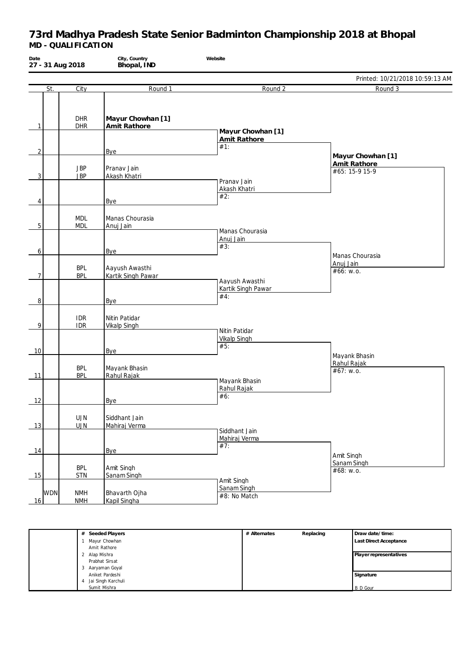| Date           |            | 27 - 31 Aug 2018         | City, Country<br>Bhopal, IND         | Website                                   |                                                     |
|----------------|------------|--------------------------|--------------------------------------|-------------------------------------------|-----------------------------------------------------|
|                |            |                          |                                      |                                           | Printed: 10/21/2018 10:59:13 AM                     |
|                | St.        | City                     | Round 1                              | Round 2                                   | Round 3                                             |
| $\mathbf{1}$   |            | <b>DHR</b><br><b>DHR</b> | Mayur Chowhan [1]<br>Amit Rathore    | Mayur Chowhan [1]                         |                                                     |
| $\overline{2}$ |            |                          | Bye                                  | Amit Rathore<br>#1:                       |                                                     |
|                |            | <b>JBP</b>               | Pranav Jain                          |                                           | Mayur Chowhan [1]<br>Amit Rathore<br>#65: 15-9 15-9 |
| 3              |            | <b>JBP</b>               | Akash Khatri                         | Pranav Jain<br>Akash Khatri               |                                                     |
| 4              |            |                          | Bye                                  | #2:                                       |                                                     |
| 5              |            | <b>MDL</b><br><b>MDL</b> | Manas Chourasia<br>Anuj Jain         |                                           |                                                     |
| 6              |            |                          | <b>Bye</b>                           | Manas Chourasia<br>Anuj Jain<br>#3:       | Manas Chourasia                                     |
| $\overline{7}$ |            | <b>BPL</b><br><b>BPL</b> | Aayush Awasthi<br>Kartik Singh Pawar | Aayush Awasthi                            | Anuj Jain<br>#66: w.o.                              |
| 8              |            |                          | Bye                                  | Kartik Singh Pawar<br>#4:                 |                                                     |
| 9              |            | <b>IDR</b><br><b>IDR</b> | Nitin Patidar<br><b>Vikalp Singh</b> | Nitin Patidar                             |                                                     |
| 10             |            |                          | Bye                                  | <b>Vikalp Singh</b><br>#5:                | Mayank Bhasin                                       |
| 11             |            | <b>BPL</b><br><b>BPL</b> | Mayank Bhasin<br>Rahul Rajak         |                                           | Rahul Rajak<br>#67: w.o.                            |
| 12             |            |                          | <b>Bye</b>                           | Mayank Bhasin<br>Rahul Rajak<br>#6:       |                                                     |
| 13             |            | <b>UJN</b><br>UJN        | Siddhant Jain<br>Mahiraj Verma       |                                           |                                                     |
| 14             |            |                          | Bye                                  | Siddhant Jain<br>Mahiraj Verma<br>#7:     |                                                     |
| 15             |            | <b>BPL</b><br><b>STN</b> | Amit Singh<br>Sanam Singh            |                                           | Amit Singh<br>Sanam Singh<br>#68: w.o.              |
| 16             | <b>WDN</b> | <b>NMH</b><br><b>NMH</b> | Bhavarth Ojha<br>Kapil Singha        | Amit Singh<br>Sanam Singh<br>#8: No Match |                                                     |

| # Seeded Players        | # Alternates | Replacing | Draw date/time:               |
|-------------------------|--------------|-----------|-------------------------------|
| Mayur Chowhan           |              |           | <b>Last Direct Acceptance</b> |
| Amit Rathore            |              |           |                               |
| 2 Alap Mishra           |              |           | Player representatives        |
| Prabhat Sirsat          |              |           |                               |
| 3 Aaryaman Goyal        |              |           |                               |
| Aniket Pardeshi         |              |           | Signature                     |
| Jai Singh Karchuli<br>4 |              |           |                               |
| Sumit Mishra            |              |           | <b>B</b> D Gour               |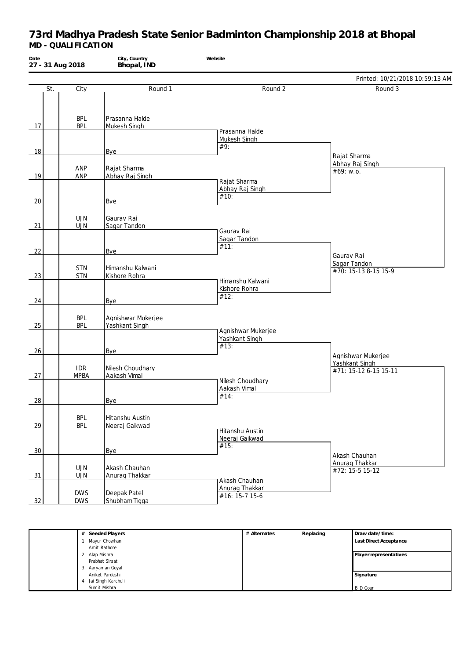| Date<br>27 - 31 Aug 2018 |                           | City, Country<br>Bhopal, IND         | Website                                           |                                                               |
|--------------------------|---------------------------|--------------------------------------|---------------------------------------------------|---------------------------------------------------------------|
|                          |                           |                                      |                                                   | Printed: 10/21/2018 10:59:13 AM                               |
| St.                      | City                      | Round 1                              | Round 2                                           | Round 3                                                       |
| 17                       | <b>BPL</b><br><b>BPL</b>  | Prasanna Halde<br>Mukesh Singh       | Prasanna Halde                                    |                                                               |
|                          |                           |                                      | Mukesh Singh<br>#9:                               |                                                               |
| 18                       | ANP                       | Bye<br>Rajat Sharma                  |                                                   | Rajat Sharma<br>Abhay Raj Singh                               |
| 19                       | ANP                       | Abhay Raj Singh                      | Rajat Sharma<br>Abhay Raj Singh                   | #69: w.o.                                                     |
| 20                       |                           | Bye                                  | #10:                                              |                                                               |
| 21                       | <b>UJN</b><br><b>UJN</b>  | Gaurav Rai<br>Sagar Tandon           |                                                   |                                                               |
| 22                       |                           | Bye                                  | Gaurav Rai<br>Sagar Tandon<br>#11:                | Gaurav Rai                                                    |
| 23                       | <b>STN</b><br><b>STN</b>  | Himanshu Kalwani<br>Kishore Rohra    | Himanshu Kalwani                                  | Sagar Tandon<br>#70: 15-13 8-15 15-9                          |
| 24                       |                           | Bye                                  | Kishore Rohra<br>#12:                             |                                                               |
| 25                       | <b>BPL</b><br><b>BPL</b>  | Agnishwar Mukerjee<br>Yashkant Singh | Agnishwar Mukerjee                                |                                                               |
| 26                       |                           | Bye                                  | Yashkant Singh<br>#13:                            |                                                               |
| 27                       | <b>IDR</b><br><b>MPBA</b> | Nilesh Choudhary<br>Aakash Vimal     |                                                   | Agnishwar Mukerjee<br>Yashkant Singh<br>#71: 15-12 6-15 15-11 |
| 28                       |                           | Bye                                  | Nilesh Choudhary<br>Aakash Vimal<br>#14:          |                                                               |
| 29                       | <b>BPL</b><br><b>BPL</b>  | Hitanshu Austin<br>Neeraj Gaikwad    | Hitanshu Austin                                   |                                                               |
| 30                       |                           | Bye                                  | Neeraj Gaikwad<br>#15:                            | Akash Chauhan                                                 |
| 31                       | <b>UJN</b><br>UJN         | Akash Chauhan<br>Anurag Thakkar      |                                                   | Anurag Thakkar<br>#72: 15-5 15-12                             |
| 32                       | <b>DWS</b><br><b>DWS</b>  | Deepak Patel<br>Shubham Tiqqa        | Akash Chauhan<br>Anurag Thakkar<br>#16: 15-7 15-6 |                                                               |

| # Seeded Players    | # Alternates | Replacing | Draw date/time:               |
|---------------------|--------------|-----------|-------------------------------|
| Mayur Chowhan       |              |           | <b>Last Direct Acceptance</b> |
| Amit Rathore        |              |           |                               |
| 2 Alap Mishra       |              |           | Player representatives        |
| Prabhat Sirsat      |              |           |                               |
| Aaryaman Goyal<br>3 |              |           |                               |
| Aniket Pardeshi     |              |           | Signature                     |
| Jai Singh Karchuli  |              |           |                               |
| Sumit Mishra        |              |           | <b>B</b> D Gour               |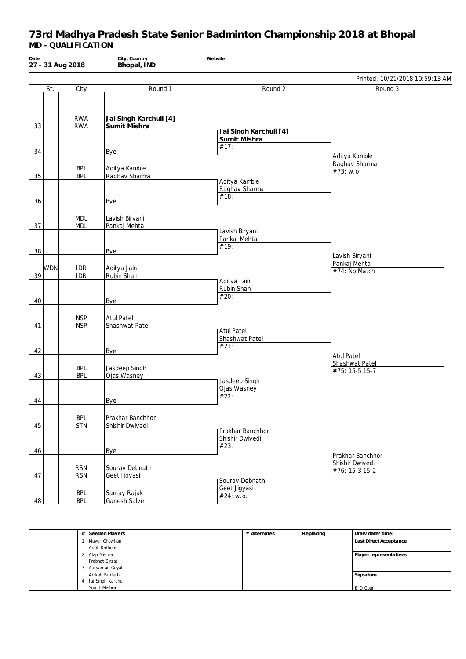| Date |     | 27 - 31 Aug 2018         | City, Country<br>Bhopal, IND           | Website                                     |                                                       |
|------|-----|--------------------------|----------------------------------------|---------------------------------------------|-------------------------------------------------------|
|      |     |                          |                                        |                                             | Printed: 10/21/2018 10:59:13 AM                       |
|      | St. | City                     | Round 1                                | Round 2                                     | Round 3                                               |
| 33   |     | <b>RWA</b><br><b>RWA</b> | Jai Singh Karchuli [4]<br>Sumit Mishra | Jai Singh Karchuli [4]                      |                                                       |
|      |     |                          |                                        | Sumit Mishra                                |                                                       |
| 34   |     |                          | Bye                                    | #17:                                        | Aditya Kamble<br>Raghav Sharma                        |
| 35   |     | <b>BPL</b><br><b>BPL</b> | Aditya Kamble<br>Raghav Sharma         | Aditya Kamble                               | #73: w.o.                                             |
| 36   |     |                          | Bye                                    | Raghav Sharma<br>#18:                       |                                                       |
| 37   |     | <b>MDL</b><br><b>MDL</b> | Lavish Biryani<br>Pankaj Mehta         |                                             |                                                       |
| 38   |     |                          | Bye                                    | Lavish Biryani<br>Pankaj Mehta<br>#19:      | Lavish Biryani                                        |
| 39   | WDN | <b>IDR</b><br><b>IDR</b> | Aditya Jain<br>Rubin Shah              | Aditya Jain                                 | Pankaj Mehta<br>#74: No Match                         |
| 40   |     |                          | Bye                                    | Rubin Shah<br>#20:                          |                                                       |
| 41   |     | <b>NSP</b><br><b>NSP</b> | <b>Atul Patel</b><br>Shashwat Patel    | <b>Atul Patel</b>                           |                                                       |
| 42   |     |                          | Bye                                    | Shashwat Patel<br>#21:                      | <b>Atul Patel</b>                                     |
| 43   |     | <b>BPL</b><br><b>BPL</b> | Jasdeep Singh<br>Ojas Wasney           |                                             | Shashwat Patel<br>#75: 15-5 15-7                      |
| 44   |     |                          | Bye                                    | Jasdeep Singh<br>Ojas Wasney<br>#22:        |                                                       |
| 45   |     | <b>BPL</b><br><b>STN</b> | Prakhar Banchhor<br>Shishir Dwivedi    |                                             |                                                       |
| 46   |     |                          | Bye                                    | Prakhar Banchhor<br>Shishir Dwivedi<br>#23: |                                                       |
| 47   |     | <b>RSN</b><br><b>RSN</b> | Sourav Debnath<br>Geet Jigyasi         |                                             | Prakhar Banchhor<br>Shishir Dwivedi<br>#76: 15-3 15-2 |
| 48   |     | <b>BPL</b><br><b>BPL</b> | Sanjay Rajak<br>Ganesh Salve           | Sourav Debnath<br>Geet Jigyasi<br>#24: w.o. |                                                       |

| Seeded Players<br># | # Alternates | Replacing | Draw date/time:               |
|---------------------|--------------|-----------|-------------------------------|
| Mayur Chowhan       |              |           | <b>Last Direct Acceptance</b> |
| Amit Rathore        |              |           |                               |
| Alap Mishra         |              |           | Player representatives        |
| Prabhat Sirsat      |              |           |                               |
| Aaryaman Goyal      |              |           |                               |
| Aniket Pardeshi     |              |           | Signature                     |
| Jai Singh Karchuli  |              |           |                               |
| Sumit Mishra        |              |           | <b>B</b> D Gour               |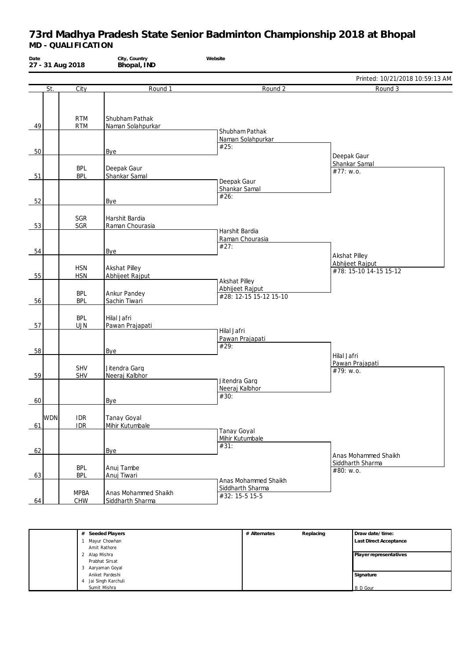| Date             | 27 - 31 Aug 2018         | City, Country<br>Bhopal, IND             | Website                                   |                                           |
|------------------|--------------------------|------------------------------------------|-------------------------------------------|-------------------------------------------|
|                  |                          |                                          |                                           | Printed: 10/21/2018 10:59:13 AM           |
| St.              | City                     | Round 1                                  | Round <sub>2</sub>                        | Round 3                                   |
| 49               | <b>RTM</b><br><b>RTM</b> | Shubham Pathak<br>Naman Solahpurkar      | Shubham Pathak                            |                                           |
| 50               |                          | Bye                                      | Naman Solahpurkar<br>#25:                 |                                           |
| 51               | <b>BPL</b><br><b>BPL</b> | Deepak Gaur<br>Shankar Samal             |                                           | Deepak Gaur<br>Shankar Samal<br>#77: w.o. |
| 52               |                          | Bye                                      | Deepak Gaur<br>Shankar Samal<br>#26:      |                                           |
| 53               | SGR<br>SGR               | Harshit Bardia<br>Raman Chourasia        | Harshit Bardia                            |                                           |
| 54               |                          | <b>Bye</b>                               | Raman Chourasia<br>#27:                   | <b>Akshat Pilley</b>                      |
| 55               | <b>HSN</b><br><b>HSN</b> | Akshat Pilley<br>Abhijeet Rajput         | <b>Akshat Pilley</b>                      | Abhijeet Rajput<br>#78: 15-10 14-15 15-12 |
| 56               | <b>BPL</b><br><b>BPL</b> | Ankur Pandey<br>Sachin Tiwari            | Abhijeet Rajput<br>#28: 12-15 15-12 15-10 |                                           |
| 57               | <b>BPL</b><br><b>UJN</b> | Hilal Jafri<br>Pawan Prajapati           | Hilal Jafri                               |                                           |
| 58               |                          | <b>Bye</b>                               | Pawan Prajapati<br>#29:                   | Hilal Jafri                               |
| 59               | <b>SHV</b><br>SHV        | Jitendra Garg<br>Neeraj Kalbhor          | Jitendra Garg                             | Pawan Prajapati<br>#79: w.o.              |
| 60               |                          | Bye                                      | Neeraj Kalbhor<br>#30:                    |                                           |
| <b>WDN</b><br>61 | <b>IDR</b><br><b>IDR</b> | <b>Tanay Goyal</b><br>Mihir Kutumbale    | <b>Tanay Goyal</b>                        |                                           |
| 62               |                          | Bye                                      | Mihir Kutumbale<br>#31:                   | Anas Mohammed Shaikh                      |
| 63               | <b>BPL</b><br><b>BPL</b> | Anuj Tambe<br>Anuj Tiwari                | Anas Mohammed Shaikh                      | Siddharth Sharma<br>#80: w.o.             |
| 64               | <b>MPBA</b><br>CHW       | Anas Mohammed Shaikh<br>Siddharth Sharma | Siddharth Sharma<br>#32: 15-5 15-5        |                                           |

| Seeded Players<br># | # Alternates | Replacing | Draw date/time:               |
|---------------------|--------------|-----------|-------------------------------|
| Mayur Chowhan       |              |           | <b>Last Direct Acceptance</b> |
| Amit Rathore        |              |           |                               |
| Alap Mishra         |              |           | Player representatives        |
| Prabhat Sirsat      |              |           |                               |
| Aaryaman Goyal      |              |           |                               |
| Aniket Pardeshi     |              |           | Signature                     |
| Jai Singh Karchuli  |              |           |                               |
| Sumit Mishra        |              |           | <b>B</b> D Gour               |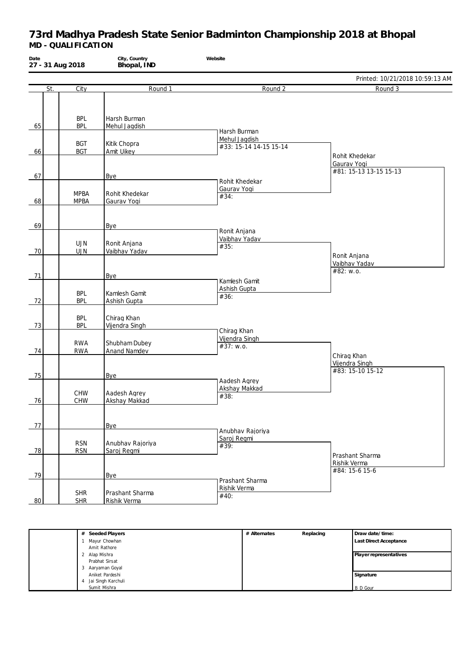| Date<br>27 - 31 Aug 2018 |                          | City, Country<br>Bhopal, IND    | Website                                    |                                                         |
|--------------------------|--------------------------|---------------------------------|--------------------------------------------|---------------------------------------------------------|
|                          |                          |                                 |                                            | Printed: 10/21/2018 10:59:13 AM                         |
| St.                      | City                     | Round 1                         | Round 2                                    | Round 3                                                 |
| 65                       | <b>BPL</b><br><b>BPL</b> | Harsh Burman<br>Mehul Jagdish   | Harsh Burman                               |                                                         |
| 66                       | <b>BGT</b><br><b>BGT</b> | Kitik Chopra<br>Amit Uikey      | Mehul Jagdish<br>#33: 15-14 14-15 15-14    |                                                         |
| 67                       |                          |                                 |                                            | Rohit Khedekar<br>Gaurav Yogi<br>#81: 15-13 13-15 15-13 |
|                          | <b>MPBA</b>              | Bye<br>Rohit Khedekar           | Rohit Khedekar<br>Gaurav Yogi<br>#34:      |                                                         |
| 68                       | <b>MPBA</b>              | Gaurav Yogi                     |                                            |                                                         |
| 69                       |                          | Bye                             | Ronit Anjana                               |                                                         |
| 70                       | <b>UJN</b><br><b>UJN</b> | Ronit Anjana<br>Vaibhav Yadav   | Vaibhav Yadav<br>#35:                      | Ronit Anjana                                            |
| 71                       |                          | Bye                             | Kamlesh Gamit                              | Vaibhav Yadav<br>#82: w.o.                              |
| 72                       | <b>BPL</b><br><b>BPL</b> | Kamlesh Gamit<br>Ashish Gupta   | Ashish Gupta<br>#36:                       |                                                         |
| 73                       | <b>BPL</b><br><b>BPL</b> | Chirag Khan<br>Vijendra Singh   |                                            |                                                         |
| 74                       | <b>RWA</b><br><b>RWA</b> | Shubham Dubey<br>Anand Namdev   | Chirag Khan<br>Vijendra Singh<br>#37: w.o. |                                                         |
| 75                       |                          | Bye                             |                                            | Chirag Khan<br>Vijendra Singh<br>#83: 15-10 15-12       |
| 76                       | <b>CHW</b><br><b>CHW</b> | Aadesh Agrey<br>Akshay Makkad   | Aadesh Agrey<br>Akshay Makkad<br>#38:      |                                                         |
| 77                       |                          | Bye                             | Anubhav Rajoriya                           |                                                         |
| 78                       | <b>RSN</b><br><b>RSN</b> | Anubhav Rajoriya<br>Saroj Regmi | Saroj Regmi<br>#39:                        | Prashant Sharma                                         |
| 79                       |                          | Bye                             | Prashant Sharma                            | Rishik Verma<br>#84: 15-6 15-6                          |
| 80                       | <b>SHR</b><br><b>SHR</b> | Prashant Sharma<br>Rishik Verma | Rishik Verma<br>#40:                       |                                                         |

| # Seeded Players        | # Alternates | Replacing | Draw date/time:               |
|-------------------------|--------------|-----------|-------------------------------|
| Mayur Chowhan           |              |           | <b>Last Direct Acceptance</b> |
| Amit Rathore            |              |           |                               |
| 2 Alap Mishra           |              |           | Player representatives        |
| Prabhat Sirsat          |              |           |                               |
| 3 Aaryaman Goyal        |              |           |                               |
| Aniket Pardeshi         |              |           | Signature                     |
| Jai Singh Karchuli<br>4 |              |           |                               |
| Sumit Mishra            |              |           | <b>B</b> D Gour               |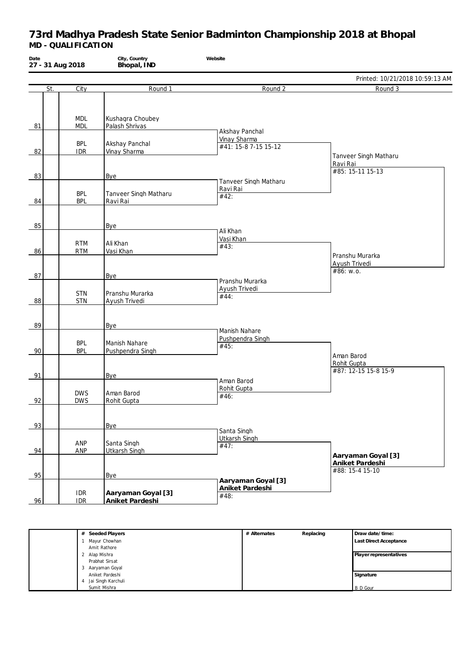| Date<br>27 - 31 Aug 2018 |                          | City, Country<br>Bhopal, IND          | Website                                       |                                                       |
|--------------------------|--------------------------|---------------------------------------|-----------------------------------------------|-------------------------------------------------------|
|                          |                          |                                       |                                               | Printed: 10/21/2018 10:59:13 AM                       |
| St.                      | City                     | Round 1                               | Round 2                                       | Round 3                                               |
| 81                       | <b>MDL</b><br><b>MDL</b> | Kushagra Choubey<br>Palash Shrivas    | Akshay Panchal                                |                                                       |
|                          | <b>BPL</b>               | Akshay Panchal                        | Vinay Sharma                                  |                                                       |
| 82                       | <b>IDR</b>               | Vinay Sharma                          | #41: 15-8 7-15 15-12                          |                                                       |
|                          |                          |                                       |                                               | Tanveer Singh Matharu<br>Ravi Rai<br>#85: 15-11 15-13 |
| 83                       |                          | <b>Bye</b>                            | Tanveer Singh Matharu                         |                                                       |
| 84                       | <b>BPL</b><br><b>BPL</b> | Tanveer Singh Matharu<br>Ravi Rai     | Ravi Rai<br>#42:                              |                                                       |
| 85                       |                          | Bye                                   | Ali Khan                                      |                                                       |
|                          |                          |                                       | Vasi Khan                                     |                                                       |
|                          | <b>RTM</b>               | Ali Khan                              | #43:                                          |                                                       |
| 86<br>87                 | <b>RTM</b>               | Vasi Khan<br><b>Bye</b>               |                                               | Pranshu Murarka<br>Ayush Trivedi<br>#86: w.o.         |
| 88                       | <b>STN</b><br><b>STN</b> | Pranshu Murarka<br>Ayush Trivedi      | Pranshu Murarka<br>Ayush Trivedi<br>#44:      |                                                       |
| 89                       |                          | <b>Bye</b>                            | Manish Nahare                                 |                                                       |
| 90                       | <b>BPL</b><br><b>BPL</b> | Manish Nahare<br>Pushpendra Singh     | Pushpendra Singh<br>#45:                      |                                                       |
| 91                       |                          | Bye                                   |                                               | Aman Barod<br>Rohit Gupta<br>#87: 12-15 15-8 15-9     |
| 92                       | <b>DWS</b><br><b>DWS</b> | Aman Barod<br>Rohit Gupta             | Aman Barod<br>Rohit Gupta<br>#46:             |                                                       |
| 93                       |                          | Bye                                   | Santa Singh                                   |                                                       |
| 94                       | ANP<br>ANP               | Santa Singh<br><b>Utkarsh Singh</b>   | <b>Utkarsh Singh</b><br>#47:                  | Aaryaman Goyal [3]                                    |
| 95                       |                          | <b>Bye</b>                            |                                               | Aniket Pardeshi<br>#88: 15-4 15-10                    |
| 96                       | <b>IDR</b><br><b>IDR</b> | Aaryaman Goyal [3]<br>Aniket Pardeshi | Aaryaman Goyal [3]<br>Aniket Pardeshi<br>#48: |                                                       |

| # Seeded Players        | # Alternates | Replacing | Draw date/time:               |
|-------------------------|--------------|-----------|-------------------------------|
| Mayur Chowhan           |              |           | <b>Last Direct Acceptance</b> |
| Amit Rathore            |              |           |                               |
| 2 Alap Mishra           |              |           | Player representatives        |
| Prabhat Sirsat          |              |           |                               |
| Aaryaman Goyal<br>3     |              |           |                               |
| Aniket Pardeshi         |              |           | Signature                     |
| Jai Singh Karchuli<br>4 |              |           |                               |
| Sumit Mishra            |              |           | <b>B</b> D Gour               |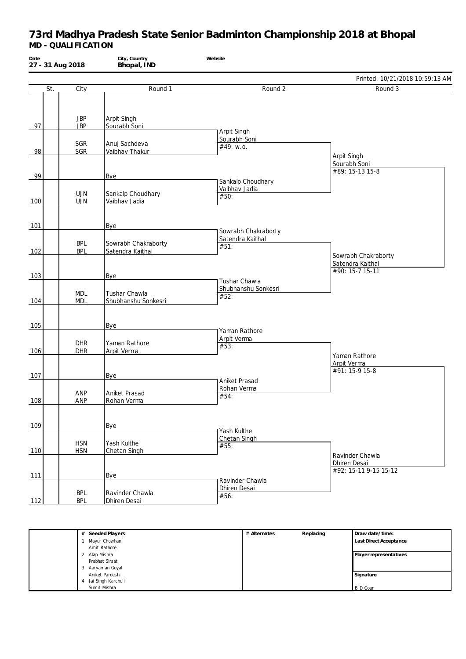| Date       | 27 - 31 Aug 2018         | City, Country<br>Bhopal, IND            | Website                                    |                                       |
|------------|--------------------------|-----------------------------------------|--------------------------------------------|---------------------------------------|
|            |                          |                                         |                                            | Printed: 10/21/2018 10:59:13 AM       |
| St.        | City                     | Round 1                                 | Round 2                                    | Round 3                               |
| 97         | <b>JBP</b><br><b>JBP</b> | Arpit Singh<br>Sourabh Soni             | Arpit Singh                                |                                       |
| 98         | SGR<br>SGR               | Anuj Sachdeva<br>Vaibhav Thakur         | Sourabh Soni<br>#49: w.o.                  | Arpit Singh                           |
| 99         |                          | <b>Bye</b>                              |                                            | Sourabh Soni<br>#89: 15-13 15-8       |
| 100        | <b>UJN</b><br><b>UJN</b> | Sankalp Choudhary<br>Vaibhav Jadia      | Sankalp Choudhary<br>Vaibhav Jadia<br>#50: |                                       |
| 101        |                          | Bye                                     | Sowrabh Chakraborty                        |                                       |
| 102        | <b>BPL</b><br><b>BPL</b> | Sowrabh Chakraborty<br>Satendra Kaithal | Satendra Kaithal<br>#51:                   | Sowrabh Chakraborty                   |
| 103        |                          | Bye                                     | Tushar Chawla                              | Satendra Kaithal<br>#90: 15-7 15-11   |
| 104        | <b>MDL</b><br><b>MDL</b> | Tushar Chawla<br>Shubhanshu Sonkesri    | Shubhanshu Sonkesri<br>#52:                |                                       |
| 105        |                          | <b>Bye</b>                              | Yaman Rathore                              |                                       |
| 106        | <b>DHR</b><br><b>DHR</b> | Yaman Rathore<br>Arpit Verma            | Arpit Verma<br>#53:                        | Yaman Rathore                         |
| 107        |                          | Bye                                     | Aniket Prasad                              | Arpit Verma<br>#91: 15-9 15-8         |
| 108        | ANP<br>ANP               | Aniket Prasad<br>Rohan Verma            | Rohan Verma<br>#54:                        |                                       |
| 109        |                          | Bye                                     | Yash Kulthe                                |                                       |
| 110        | <b>HSN</b><br><b>HSN</b> | Yash Kulthe<br>Chetan Singh             | Chetan Singh<br>#55:                       | Ravinder Chawla                       |
| <u>111</u> |                          | Bye                                     | Ravinder Chawla                            | Dhiren Desai<br>#92: 15-11 9-15 15-12 |
| 112        | <b>BPL</b><br><b>BPL</b> | Ravinder Chawla<br>Dhiren Desai         | Dhiren Desai<br>#56:                       |                                       |

| # Seeded Players        | # Alternates | Replacing | Draw date/time:               |
|-------------------------|--------------|-----------|-------------------------------|
| Mayur Chowhan           |              |           | <b>Last Direct Acceptance</b> |
| Amit Rathore            |              |           |                               |
| 2 Alap Mishra           |              |           | Player representatives        |
| Prabhat Sirsat          |              |           |                               |
| 3 Aaryaman Goyal        |              |           |                               |
| Aniket Pardeshi         |              |           | Signature                     |
| Jai Singh Karchuli<br>4 |              |           |                               |
| Sumit Mishra            |              |           | <b>B</b> D Gour               |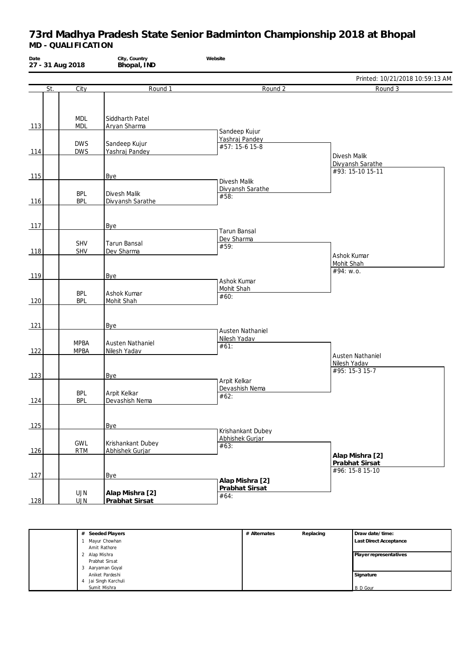| Date<br>27 - 31 Aug 2018 |                            | City, Country<br>Bhopal, IND         | Website                                  |                                                      |
|--------------------------|----------------------------|--------------------------------------|------------------------------------------|------------------------------------------------------|
|                          |                            |                                      |                                          | Printed: 10/21/2018 10:59:13 AM                      |
| St.                      | City                       | Round 1                              | Round 2                                  | Round 3                                              |
| 113                      | <b>MDL</b><br><b>MDL</b>   | Siddharth Patel<br>Aryan Sharma      | Sandeep Kujur                            |                                                      |
| 114                      | <b>DWS</b><br><b>DWS</b>   | Sandeep Kujur<br>Yashraj Pandey      | Yashraj Pandey<br>#57: 15-6 15-8         |                                                      |
| 115                      |                            | Bye                                  |                                          | Divesh Malik<br>Divyansh Sarathe<br>#93: 15-10 15-11 |
| 116                      | <b>BPL</b><br><b>BPL</b>   | Divesh Malik<br>Divyansh Sarathe     | Divesh Malik<br>Divyansh Sarathe<br>#58: |                                                      |
| 117                      |                            | Bye                                  | <b>Tarun Bansal</b>                      |                                                      |
| 118                      | SHV<br>SHV                 | <b>Tarun Bansal</b><br>Dev Sharma    | Dev Sharma<br>#59:                       | Ashok Kumar                                          |
| 119                      |                            | Bye                                  | Ashok Kumar                              | Mohit Shah<br>#94: w.o.                              |
| 120                      | <b>BPL</b><br><b>BPL</b>   | Ashok Kumar<br>Mohit Shah            | Mohit Shah<br>#60:                       |                                                      |
| $121$                    |                            | Bye                                  | <b>Austen Nathaniel</b>                  |                                                      |
| 122                      | <b>MPBA</b><br><b>MPBA</b> | Austen Nathaniel<br>Nilesh Yadav     | Nilesh Yadav<br>#61:                     | Austen Nathaniel                                     |
| 123                      |                            | Bye                                  | Arpit Kelkar                             | Nilesh Yadav<br>#95: 15-3 15-7                       |
| 124                      | <b>BPL</b><br><b>BPL</b>   | Arpit Kelkar<br>Devashish Nema       | Devashish Nema<br>#62:                   |                                                      |
| $125$                    |                            | Bye                                  | Krishankant Dubey                        |                                                      |
| 126                      | GWL<br><b>RTM</b>          | Krishankant Dubey<br>Abhishek Gurjar | Abhishek Gurjar<br>#63:                  | Alap Mishra [2]                                      |
| 127                      |                            | Bye                                  | Alap Mishra [2]                          | Prabhat Sirsat<br>#96: 15-8 15-10                    |
| 128                      | UJN<br><b>UJN</b>          | Alap Mishra [2]<br>Prabhat Sirsat    | Prabhat Sirsat<br>#64:                   |                                                      |

| # Seeded Players        | # Alternates | Replacing | Draw date/time:               |
|-------------------------|--------------|-----------|-------------------------------|
| Mayur Chowhan           |              |           | <b>Last Direct Acceptance</b> |
| Amit Rathore            |              |           |                               |
| 2 Alap Mishra           |              |           | Player representatives        |
| Prabhat Sirsat          |              |           |                               |
| 3 Aaryaman Goyal        |              |           |                               |
| Aniket Pardeshi         |              |           | Signature                     |
| Jai Singh Karchuli<br>4 |              |           |                               |
| Sumit Mishra            |              |           | <b>B</b> D Gour               |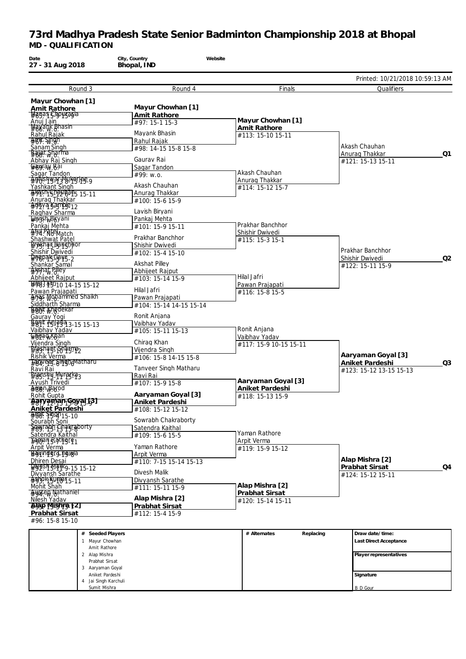| 27 - 31 Aug 2018                                                                                                                                                                                                                                                                                                                       | Bhopal, IND                       |                                         |                                       |    |
|----------------------------------------------------------------------------------------------------------------------------------------------------------------------------------------------------------------------------------------------------------------------------------------------------------------------------------------|-----------------------------------|-----------------------------------------|---------------------------------------|----|
|                                                                                                                                                                                                                                                                                                                                        |                                   |                                         | Printed: 10/21/2018 10:59:13 AM       |    |
| Round 3                                                                                                                                                                                                                                                                                                                                | Round 4                           | Finals                                  | Qualifiers                            |    |
| Mayur Chowhan [1]                                                                                                                                                                                                                                                                                                                      |                                   |                                         |                                       |    |
| <b>Amit Rathore</b><br><b>Wanas Chouragia</b>                                                                                                                                                                                                                                                                                          | Mayur Chowhan [1]<br>Amit Rathore |                                         |                                       |    |
| Anuj Jain                                                                                                                                                                                                                                                                                                                              | #97: 15-1 15-3                    | Mayur Chowhan [1]                       |                                       |    |
| <b>Waxank Bhasin</b>                                                                                                                                                                                                                                                                                                                   |                                   | Amit Rathore                            |                                       |    |
| Rahul Rajak<br>$#8W \cdot \sqrt{W}$                                                                                                                                                                                                                                                                                                    | Mayank Bhasin<br>Rahul Rajak      | #113: 15-10 15-11                       |                                       |    |
| Sanam Singh                                                                                                                                                                                                                                                                                                                            | #98: 14-15 15-8 15-8              |                                         | Akash Chauhan                         |    |
| <b>Balat Sharma</b>                                                                                                                                                                                                                                                                                                                    |                                   |                                         | Anurag Thakkar                        | Q1 |
| Abhay Raj Singh<br>⊊agraw Rai                                                                                                                                                                                                                                                                                                          | Gaurav Rai<br>Sagar Tandon        |                                         | #121: 15-13 15-11                     |    |
| Sagar Tandon                                                                                                                                                                                                                                                                                                                           | #99: w.o.                         | Akash Chauhan                           |                                       |    |
| <del>490</del> 15 hward Wukeri <del>ng</del> 9                                                                                                                                                                                                                                                                                         |                                   | Anurag Thakkar                          |                                       |    |
| Yashkant Singh                                                                                                                                                                                                                                                                                                                         | Akash Chauhan                     | #114: 15-12 15-7                        |                                       |    |
| Akash Ghaybans 15-11<br>Anurag Thakkar                                                                                                                                                                                                                                                                                                 | Anurag Thakkar<br>#100: 15-6 15-9 |                                         |                                       |    |
| Adisva Kample 12                                                                                                                                                                                                                                                                                                                       |                                   |                                         |                                       |    |
|                                                                                                                                                                                                                                                                                                                                        | Lavish Biryani                    |                                         |                                       |    |
| <i>¥ay</i> ish Bisyani<br>Pankaj Mehta                                                                                                                                                                                                                                                                                                 | Pankaj Mehta<br>#101: 15-9 15-11  | Prakhar Banchhor                        |                                       |    |
| 44. PRI PMatch                                                                                                                                                                                                                                                                                                                         |                                   | Shishir Dwivedi                         |                                       |    |
| Shashwat Patel                                                                                                                                                                                                                                                                                                                         | Prakhar Banchhor                  | #115: 15-3 15-1                         |                                       |    |
| <b>Prakhar Banghhor</b><br>Shishir Dwivedi                                                                                                                                                                                                                                                                                             | Shishir Dwivedi                   |                                         | Prakhar Banchhor                      |    |
| $\frac{1}{2}$ 980akcGa45-2                                                                                                                                                                                                                                                                                                             | #102: 15-4 15-10                  |                                         | Shishir Dwivedi                       | Q2 |
| Shankar Samal                                                                                                                                                                                                                                                                                                                          | <b>Akshat Pillev</b>              |                                         | #122: 15-11 15-9                      |    |
| Arshaf Pilley                                                                                                                                                                                                                                                                                                                          | Abhijeet Rajput                   | Hilal Jafri                             |                                       |    |
| Abhijeet Rajput<br>$\frac{1}{2}$ $\frac{1}{2}$ $\frac{1}{2}$ $\frac{1}{2}$ $\frac{1}{2}$ $\frac{1}{2}$ $\frac{1}{2}$ $\frac{1}{2}$ $\frac{1}{2}$ $\frac{1}{2}$ $\frac{1}{2}$ $\frac{1}{2}$ $\frac{1}{2}$ $\frac{1}{2}$ $\frac{1}{2}$ $\frac{1}{2}$ $\frac{1}{2}$ $\frac{1}{2}$ $\frac{1}{2}$ $\frac{1}{2}$ $\frac{1}{2}$ $\frac{1}{2}$ | #103: 15-14 15-9                  | Pawan Prajapati                         |                                       |    |
| Pawan Prajapati<br>4795 Wohammed Shaikh                                                                                                                                                                                                                                                                                                | Hilal Jafri                       | #116: 15-8 15-5                         |                                       |    |
|                                                                                                                                                                                                                                                                                                                                        | Pawan Prajapati                   |                                         |                                       |    |
| Siddharth Sharma<br><b>Bobi Khedekar</b>                                                                                                                                                                                                                                                                                               | #104: 15-14 14-15 15-14           |                                         |                                       |    |
| Gaurav Yogi                                                                                                                                                                                                                                                                                                                            | Ronit Anjana                      |                                         |                                       |    |
| \$899!! A51959 3-15 15-13                                                                                                                                                                                                                                                                                                              | Vaibhav Yadav                     |                                         |                                       |    |
| Vaibhav Yadav<br>⊊binaq Khan                                                                                                                                                                                                                                                                                                           | #105: 15-11 15-13                 | Ronit Anjana                            |                                       |    |
| Vijendra Singh                                                                                                                                                                                                                                                                                                                         | Chirag Khan                       | Vaibhav Yadav<br>#117: 15-9 10-15 15-11 |                                       |    |
| Preshapi Sharim                                                                                                                                                                                                                                                                                                                        | Vijendra Singh                    |                                         |                                       |    |
| Rishik Verma<br><b>Tagayers Singh Matharu</b>                                                                                                                                                                                                                                                                                          | #106: 15-8 14-15 15-8             |                                         | Aaryaman Goyal [3]<br>Aniket Pardeshi | Q3 |
| Ravi Rai                                                                                                                                                                                                                                                                                                                               | <b>Tanveer Singh Matharu</b>      |                                         | #123: 15-12 13-15 15-13               |    |
| <b>Prestishu Muraska3</b>                                                                                                                                                                                                                                                                                                              | Ravi Rai                          |                                         |                                       |    |
| Ayush Trivedi                                                                                                                                                                                                                                                                                                                          | #107: 15-9 15-8                   | Aaryaman Goyal [3]                      |                                       |    |
| Aman Barod<br>Rohit Gupta                                                                                                                                                                                                                                                                                                              | Aaryaman Goyal [3]                | Aniket Pardeshi<br>#118: 15-13 15-9     |                                       |    |
| <u> #ब्राणकाकानुक्यक् दि ।</u>                                                                                                                                                                                                                                                                                                         | Aniket Pardeshi                   |                                         |                                       |    |
| Aniket Pardeshi                                                                                                                                                                                                                                                                                                                        | #108: 15-12 15-12                 |                                         |                                       |    |
| #698! P59415-10<br>Sourabh Soni                                                                                                                                                                                                                                                                                                        | Sowrabh Chakraborty               |                                         |                                       |    |
| Severant Charlestorty                                                                                                                                                                                                                                                                                                                  | Satendra Kaithal                  |                                         |                                       |    |
| Satendra Kaithal                                                                                                                                                                                                                                                                                                                       | #109: 15-6 15-5                   | Yaman Rathore                           |                                       |    |
| <b><i>¥en</i>man Rathere1</b><br>Arpit Verma                                                                                                                                                                                                                                                                                           | Yaman Rathore                     | Arpit Verma                             |                                       |    |
| <b>Payinderchawla</b>                                                                                                                                                                                                                                                                                                                  | Arpit Verma                       | #119: 15-9 15-12                        |                                       |    |
| Dhiren Desai                                                                                                                                                                                                                                                                                                                           | #110: 7-15 15-14 15-13            |                                         | Alap Mishra [2]                       |    |
| PUSR MAIK9-15 15-12                                                                                                                                                                                                                                                                                                                    | Divesh Malik                      |                                         | Prabhat Sirsat                        | Q4 |
| Divyansh Sarathe<br>$4999$ REUMBRE-11                                                                                                                                                                                                                                                                                                  | Divyansh Sarathe                  |                                         | #124: 15-12 15-11                     |    |
| Mohit Shah                                                                                                                                                                                                                                                                                                                             | #111: 15-11 15-9                  | Alap Mishra [2]                         |                                       |    |
| <del>Austen Nathaniel</del>                                                                                                                                                                                                                                                                                                            | Alap Mishra [2]                   | Prabhat Sirsat                          |                                       |    |
| Nilesh Yadav<br>Abap Mishra 121                                                                                                                                                                                                                                                                                                        | Prabhat Sirsat                    | #120: 15-14 15-11                       |                                       |    |
| Prabhat Sirsat                                                                                                                                                                                                                                                                                                                         | #112: 15-4 15-9                   |                                         |                                       |    |
| #96: 15-8 15-10                                                                                                                                                                                                                                                                                                                        |                                   |                                         |                                       |    |
|                                                                                                                                                                                                                                                                                                                                        |                                   |                                         |                                       |    |
| # Seeded Players                                                                                                                                                                                                                                                                                                                       |                                   | Replacing<br># Alternates               | Draw date/time:                       |    |
| 1 Mayur Chowhan<br>Amit Rathore                                                                                                                                                                                                                                                                                                        |                                   |                                         | Last Direct Acceptance                |    |
| 2 Alap Mishra                                                                                                                                                                                                                                                                                                                          |                                   |                                         | Player representatives                |    |
| Prabhat Sirsat                                                                                                                                                                                                                                                                                                                         |                                   |                                         |                                       |    |
| 3 Aaryaman Goyal<br>Aniket Pardeshi                                                                                                                                                                                                                                                                                                    |                                   |                                         | Signature                             |    |
| Jai Singh Karchuli<br>4                                                                                                                                                                                                                                                                                                                |                                   |                                         |                                       |    |
| Sumit Mishra                                                                                                                                                                                                                                                                                                                           |                                   |                                         | <b>B</b> D Gour                       |    |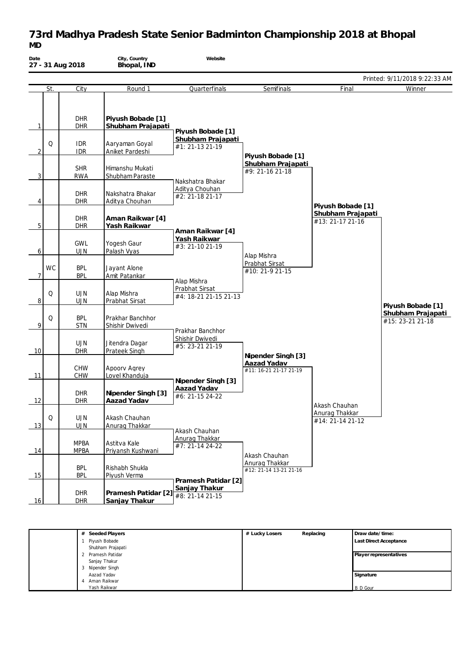## **73rd Madhya Pradesh State Senior Badminton Championship 2018 at Bhopal** *MD*

| Date           |           | 27 - 31 Aug 2018           | City, Country<br>Bhopal, IND           | Website                                 |                                          |                                       |                                       |
|----------------|-----------|----------------------------|----------------------------------------|-----------------------------------------|------------------------------------------|---------------------------------------|---------------------------------------|
|                |           |                            |                                        |                                         |                                          |                                       | Printed: 9/11/2018 9:22:33 AM         |
|                | St.       | City                       | Round 1                                | Quarterfinals                           | Semifinals                               | Final                                 | Winner                                |
| 1              |           | <b>DHR</b><br>DHR          | Piyush Bobade [1]<br>Shubham Prajapati | Piyush Bobade [1]                       |                                          |                                       |                                       |
| $\overline{2}$ | Q         | <b>IDR</b><br><b>IDR</b>   | Aaryaman Goyal<br>Aniket Pardeshi      | Shubham Prajapati<br>#1: 21-13 21-19    | Piyush Bobade [1]                        |                                       |                                       |
| 3              |           | <b>SHR</b><br><b>RWA</b>   | Himanshu Mukati<br>Shubham Paraste     | Nakshatra Bhakar                        | Shubham Prajapati<br>#9: 21-16 21-18     |                                       |                                       |
| 4              |           | <b>DHR</b><br>DHR          | Nakshatra Bhakar<br>Aditya Chouhan     | Aditya Chouhan<br>#2: 21-18 21-17       |                                          | Piyush Bobade [1]                     |                                       |
| 5              |           | <b>DHR</b><br><b>DHR</b>   | Aman Raikwar [4]<br>Yash Raikwar       | Aman Raikwar [4]                        |                                          | Shubham Prajapati<br>#13: 21-17 21-16 |                                       |
| 6              |           | <b>GWL</b><br><b>UJN</b>   | Yogesh Gaur<br>Palash Vyas             | Yash Raikwar<br>#3: 21-10 21-19         | Alap Mishra                              |                                       |                                       |
| $\overline{7}$ | <b>WC</b> | <b>BPL</b><br><b>BPL</b>   | Jayant Alone<br>Amit Patankar          | Alap Mishra                             | Prabhat Sirsat<br>#10: 21-9 21-15        |                                       |                                       |
| 8 <sup>1</sup> | Q         | <b>UJN</b><br><b>UJN</b>   | Alap Mishra<br>Prabhat Sirsat          | Prabhat Sirsat<br>#4: 18-21 21-15 21-13 |                                          |                                       | Piyush Bobade [1]                     |
| 9              | Q         | <b>BPL</b><br><b>STN</b>   | Prakhar Banchhor<br>Shishir Dwivedi    | Prakhar Banchhor                        |                                          |                                       | Shubham Prajapati<br>#15: 23-21 21-18 |
| 10             |           | <b>UJN</b><br>DHR          | Jitendra Dagar<br>Prateek Singh        | Shishir Dwivedi<br>#5: 23-21 21-19      | Nipender Singh [3]                       |                                       |                                       |
| 11             |           | <b>CHW</b><br><b>CHW</b>   | Apoorv Agrey<br>Lovel Khanduja         | Nipender Singh [3]                      | Aazad Yadav<br>#11: 16-21 21-17 21-19    |                                       |                                       |
| 12             |           | <b>DHR</b><br><b>DHR</b>   | Nipender Singh [3]<br>Aazad Yadav      | Aazad Yadav<br>#6: 21-15 24-22          |                                          | Akash Chauhan                         |                                       |
| 13             | Q         | <b>UJN</b><br><b>UJN</b>   | Akash Chauhan<br>Anurag Thakkar        | Akash Chauhan                           |                                          | Anurag Thakkar<br>#14: 21-14 21-12    |                                       |
| 14             |           | <b>MPBA</b><br><b>MPBA</b> | Astitva Kale<br>Priyansh Kushwani      | Anurag Thakkar<br>#7: 21-14 24-22       | Akash Chauhan                            |                                       |                                       |
| 15             |           | <b>BPL</b><br><b>BPL</b>   | Rishabh Shukla<br>Piyush Verma         | Pramesh Patidar [2]                     | Anurag Thakkar<br>#12: 21-14 13-21 21-16 |                                       |                                       |
| 16             |           | DHR<br><b>DHR</b>          | Pramesh Patidar [2]<br>Sanjay Thakur   | Sanjay Thakur<br>#8: 21-14 21-15        |                                          |                                       |                                       |

| # Seeded Players  | # Lucky Losers | Replacing | Draw date/time:               |
|-------------------|----------------|-----------|-------------------------------|
| Piyush Bobade     |                |           | <b>Last Direct Acceptance</b> |
| Shubham Prajapati |                |           |                               |
| 2 Pramesh Patidar |                |           | Player representatives        |
| Sanjay Thakur     |                |           |                               |
| 3 Nipender Singh  |                |           |                               |
| Aazad Yadav       |                |           | Signature                     |
| Aman Raikwar      |                |           |                               |
| Yash Raikwar      |                |           | <b>B</b> D Gour               |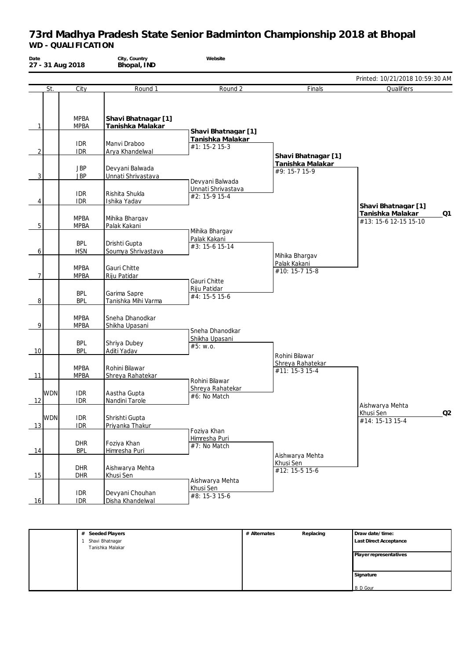| Date           |            | 27 - 31 Aug 2018           | City, Country<br>Bhopal, IND            | Website                                          |                                                          |                                                 |    |
|----------------|------------|----------------------------|-----------------------------------------|--------------------------------------------------|----------------------------------------------------------|-------------------------------------------------|----|
|                |            |                            |                                         |                                                  |                                                          | Printed: 10/21/2018 10:59:30 AM                 |    |
|                | St.        | City                       | Round 1                                 | Round 2                                          | Finals                                                   | Qualifiers                                      |    |
| $\mathbf{1}$   |            | <b>MPBA</b><br><b>MPBA</b> | Shavi Bhatnagar [1]<br>Tanishka Malakar | Shavi Bhatnagar [1]                              |                                                          |                                                 |    |
| 2              |            | <b>IDR</b><br><b>IDR</b>   | Manvi Draboo<br>Arya Khandelwal         | Tanishka Malakar<br>#1: 15-2 15-3                |                                                          |                                                 |    |
| $\mathbf{3}$   |            | <b>JBP</b><br><b>JBP</b>   | Devyani Balwada<br>Unnati Shrivastava   | Devyani Balwada                                  | Shavi Bhatnagar [1]<br>Tanishka Malakar<br>#9: 15-7 15-9 |                                                 |    |
| 4              |            | <b>IDR</b><br><b>IDR</b>   | Rishita Shukla<br>Ishika Yadav          | Unnati Shrivastava<br>#2: 15-9 15-4              |                                                          | Shavi Bhatnagar [1]                             |    |
| 5              |            | <b>MPBA</b><br><b>MPBA</b> | Mihika Bhargav<br>Palak Kakani          |                                                  |                                                          | Tanishka Malakar<br>#13: 15-6 12-15 15-10       | Q1 |
| 6              |            | <b>BPL</b><br><b>HSN</b>   | Drishti Gupta<br>Soumya Shrivastava     | Mihika Bhargav<br>Palak Kakani<br>#3: 15-6 15-14 | Mihika Bhargav                                           |                                                 |    |
| 7              |            | <b>MPBA</b><br><b>MPBA</b> | Gauri Chitte<br>Riju Patidar            | Gauri Chitte                                     | Palak Kakani<br>#10: 15-7 15-8                           |                                                 |    |
| 8 <sup>1</sup> |            | <b>BPL</b><br><b>BPL</b>   | Garima Sapre<br>Tanishka Mihi Varma     | Riju Patidar<br>#4: 15-5 15-6                    |                                                          |                                                 |    |
| 9              |            | <b>MPBA</b><br><b>MPBA</b> | Sneha Dhanodkar<br>Shikha Upasani       | Sneha Dhanodkar                                  |                                                          |                                                 |    |
| 10             |            | <b>BPL</b><br><b>BPL</b>   | Shriya Dubey<br>Aditi Yadav             | Shikha Upasani<br>#5: w.o.                       | Rohini Bilawar                                           |                                                 |    |
| 11             |            | <b>MPBA</b><br><b>MPBA</b> | Rohini Bilawar<br>Shreya Rahatekar      | Rohini Bilawar                                   | Shreya Rahatekar<br>#11: 15-3 15-4                       |                                                 |    |
| 12             | <b>WDN</b> | <b>IDR</b><br><b>IDR</b>   | Aastha Gupta<br>Nandini Tarole          | Shreya Rahatekar<br>#6: No Match                 |                                                          |                                                 |    |
| 13             | <b>WDN</b> | <b>IDR</b><br><b>IDR</b>   | Shrishti Gupta<br>Priyanka Thakur       |                                                  |                                                          | Aishwarya Mehta<br>Khusi Sen<br>#14: 15-13 15-4 | Q2 |
| 14             |            | <b>DHR</b><br><b>BPL</b>   | Foziya Khan<br>Himresha Puri            | Foziya Khan<br>Himresha Puri<br>#7: No Match     | Aishwarya Mehta                                          |                                                 |    |
| 15             |            | DHR<br>DHR                 | Aishwarya Mehta<br>Khusi Sen            | Aishwarya Mehta                                  | Khusi Sen<br>#12: 15-5 15-6                              |                                                 |    |
| 16             |            | <b>IDR</b><br><b>IDR</b>   | Devyani Chouhan<br>Disha Khandelwal     | Khusi Sen<br>#8: 15-3 15-6                       |                                                          |                                                 |    |

| Seeded Players<br># | # Alternates | Replacing | Draw date/time:               |
|---------------------|--------------|-----------|-------------------------------|
| Shavi Bhatnagar     |              |           | <b>Last Direct Acceptance</b> |
| Tanishka Malakar    |              |           |                               |
|                     |              |           | Player representatives        |
|                     |              |           |                               |
|                     |              |           |                               |
|                     |              |           | Signature                     |
|                     |              |           |                               |
|                     |              |           | <b>B</b> D Gour               |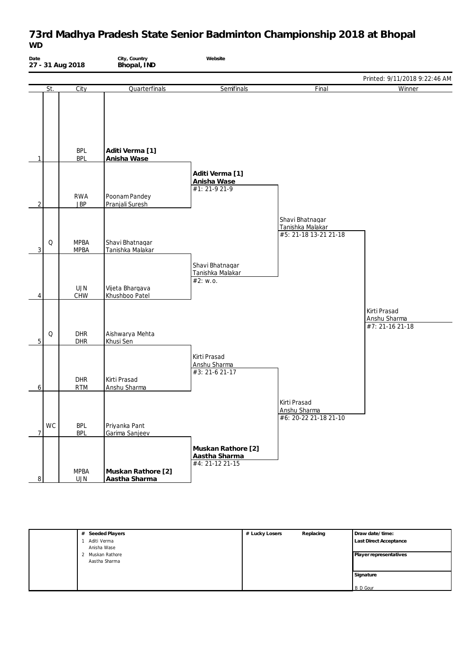# **73rd Madhya Pradesh State Senior Badminton Championship 2018 at Bhopal** *WD*

| Date<br>27 - 31 Aug 2018 |                            | City, Country<br>Bhopal, IND        | Website                                                |                                                              |                                                 |
|--------------------------|----------------------------|-------------------------------------|--------------------------------------------------------|--------------------------------------------------------------|-------------------------------------------------|
|                          |                            |                                     |                                                        |                                                              | Printed: 9/11/2018 9:22:46 AM                   |
| St.                      | City                       | Quarterfinals                       | Semifinals                                             | Final                                                        | Winner                                          |
| 1                        | <b>BPL</b><br><b>BPL</b>   | Aditi Verma [1]<br>Anisha Wase      |                                                        |                                                              |                                                 |
| 2                        | <b>RWA</b><br><b>JBP</b>   | Poonam Pandey<br>Pranjali Suresh    | Aditi Verma [1]<br>Anisha Wase<br>#1: 21-9 21-9        |                                                              |                                                 |
| Q<br>$\overline{3}$      | <b>MPBA</b><br><b>MPBA</b> | Shavi Bhatnagar<br>Tanishka Malakar |                                                        | Shavi Bhatnagar<br>Tanishka Malakar<br>#5: 21-18 13-21 21-18 |                                                 |
| 4                        | <b>UJN</b><br>CHW          | Vijeta Bhargava<br>Khushboo Patel   | Shavi Bhatnagar<br>Tanishka Malakar<br>#2: W.0.        |                                                              |                                                 |
| Q<br>5                   | <b>DHR</b><br>DHR          | Aishwarya Mehta<br>Khusi Sen        |                                                        |                                                              | Kirti Prasad<br>Anshu Sharma<br>#7: 21-16 21-18 |
| 6                        | <b>DHR</b><br><b>RTM</b>   | Kirti Prasad<br>Anshu Sharma        | Kirti Prasad<br>Anshu Sharma<br>$#3: 21-6 21-17$       |                                                              |                                                 |
| WC<br>$\overline{7}$     | <b>BPL</b><br><b>BPL</b>   | Priyanka Pant<br>Garima Sanjeev     |                                                        | Kirti Prasad<br>Anshu Sharma<br>#6: 20-22 21-18 21-10        |                                                 |
| 8                        | <b>MPBA</b><br><b>UJN</b>  | Muskan Rathore [2]<br>Aastha Sharma | Muskan Rathore [2]<br>Aastha Sharma<br>#4: 21-12 21-15 |                                                              |                                                 |

| Seeded Players<br># | # Lucky Losers                  | Replacing | Draw date/time:               |
|---------------------|---------------------------------|-----------|-------------------------------|
| Aditi Verma         |                                 |           | <b>Last Direct Acceptance</b> |
| Anisha Wase         |                                 |           |                               |
| $\mathcal{D}$       |                                 |           | Player representatives        |
|                     |                                 |           |                               |
|                     |                                 |           |                               |
|                     |                                 |           | Signature                     |
|                     |                                 |           | <b>B</b> D Gour               |
|                     | Muskan Rathore<br>Aastha Sharma |           |                               |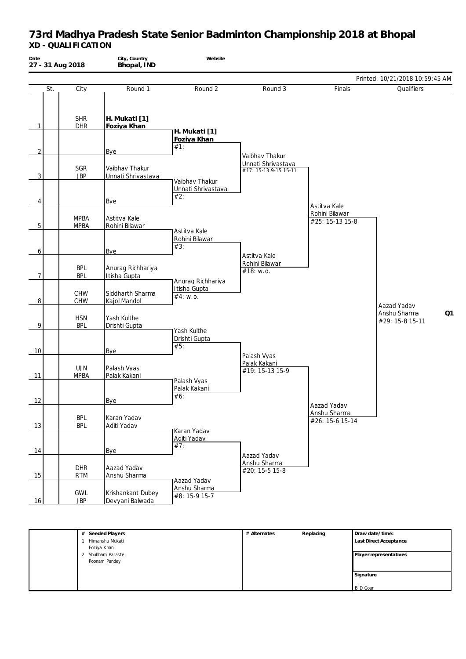| Date<br>27 - 31 Aug 2018 |                            | City, Country<br>Bhopal, IND                | Website                       |                                                               |                                   |                                       |
|--------------------------|----------------------------|---------------------------------------------|-------------------------------|---------------------------------------------------------------|-----------------------------------|---------------------------------------|
|                          |                            |                                             |                               |                                                               |                                   | Printed: 10/21/2018 10:59:45 AM       |
| St.                      | City                       | Round 1                                     | Round 2                       | Round 3                                                       | Finals                            | Qualifiers                            |
| 1                        | <b>SHR</b><br><b>DHR</b>   | H. Mukati [1]<br>Foziya Khan                | H. Mukati [1]                 |                                                               |                                   |                                       |
|                          |                            |                                             | Foziya Khan<br>#1:            |                                                               |                                   |                                       |
| $\overline{2}$<br>3      | SGR<br><b>JBP</b>          | Bye<br>Vaibhav Thakur<br>Unnati Shrivastava | Vaibhav Thakur                | Vaibhav Thakur<br>Unnati Shrivastava<br>#17: 15-13 9-15 15-11 |                                   |                                       |
| 4                        |                            | Bye                                         | Unnati Shrivastava<br>#2:     |                                                               | Astitva Kale                      |                                       |
| 5                        | <b>MPBA</b><br><b>MPBA</b> | Astitva Kale<br>Rohini Bilawar              | Astitva Kale                  |                                                               | Rohini Bilawar<br>#25: 15-13 15-8 |                                       |
| 6                        |                            | Bye                                         | Rohini Bilawar<br>#3:         | Astitva Kale                                                  |                                   |                                       |
| 7                        | <b>BPL</b><br><b>BPL</b>   | Anurag Richhariya<br>Itisha Gupta           | Anurag Richhariya             | Rohini Bilawar<br>#18: w.o.                                   |                                   |                                       |
| 8                        | CHW<br><b>CHW</b>          | Siddharth Sharma<br>Kajol Mandol            | Itisha Gupta<br>#4: w.o.      |                                                               |                                   | Aazad Yadav                           |
| 9                        | <b>HSN</b><br><b>BPL</b>   | Yash Kulthe<br>Drishti Gupta                | Yash Kulthe                   |                                                               |                                   | Anshu Sharma<br>Q1<br>#29: 15-8 15-11 |
| 10                       |                            | Bye                                         | Drishti Gupta<br>#5:          |                                                               |                                   |                                       |
| 11                       | <b>UJN</b><br><b>MPBA</b>  | Palash Vyas<br>Palak Kakani                 | Palash Vyas                   | Palash Vyas<br>Palak Kakani<br>#19: 15-13 15-9                |                                   |                                       |
| 12                       |                            | Bye                                         | Palak Kakani<br>#6:           |                                                               | Aazad Yadav                       |                                       |
| 13                       | <b>BPL</b><br><b>BPL</b>   | Karan Yadav<br>Aditi Yadav                  | Karan Yadav                   |                                                               | Anshu Sharma<br>#26: 15-6 15-14   |                                       |
| 14                       |                            | Bye                                         | Aditi Yadav<br>#7:            | Aazad Yadav                                                   |                                   |                                       |
| 15                       | DHR<br><b>RTM</b>          | Aazad Yadav<br>Anshu Sharma                 | Aazad Yadav                   | Anshu Sharma<br>#20: 15-5 15-8                                |                                   |                                       |
| 16                       | GWL<br><b>JBP</b>          | Krishankant Dubey<br>Devyani Balwada        | Anshu Sharma<br>#8: 15-9 15-7 |                                                               |                                   |                                       |

| # Seeded Players  | # Alternates | Replacing | Draw date/time:        |
|-------------------|--------------|-----------|------------------------|
| Himanshu Mukati   |              |           | Last Direct Acceptance |
| Foziya Khan       |              |           |                        |
| 2 Shubham Paraste |              |           | Player representatives |
| Poonam Pandey     |              |           |                        |
|                   |              |           |                        |
|                   |              |           | Signature              |
|                   |              |           |                        |
|                   |              |           | <b>B</b> D Gour        |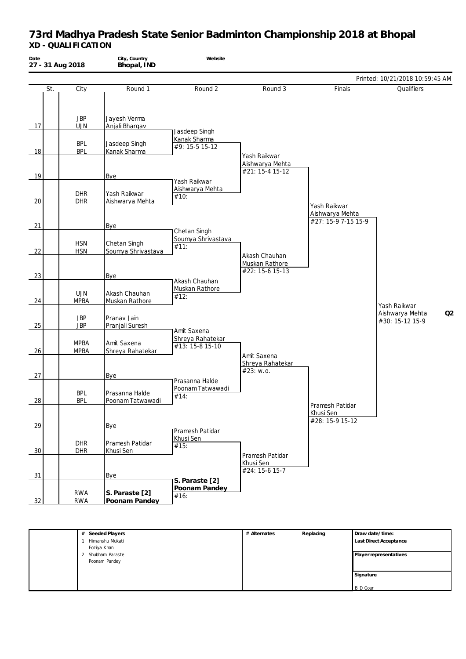| Date | 27 - 31 Aug 2018           | City, Country<br>Bhopal, IND       | Website                                 |                                                    |                                                        |                                          |
|------|----------------------------|------------------------------------|-----------------------------------------|----------------------------------------------------|--------------------------------------------------------|------------------------------------------|
|      |                            |                                    |                                         |                                                    |                                                        | Printed: 10/21/2018 10:59:45 AM          |
| St.  | City                       | Round 1                            | Round 2                                 | Round 3                                            | Finals                                                 | Qualifiers                               |
| 17   | <b>JBP</b><br><b>UJN</b>   | Jayesh Verma<br>Anjali Bhargav     | Jasdeep Singh                           |                                                    |                                                        |                                          |
|      | <b>BPL</b>                 | Jasdeep Singh                      | Kanak Sharma                            |                                                    |                                                        |                                          |
| 18   | <b>BPL</b>                 | Kanak Sharma                       | #9: 15-5 15-12                          |                                                    |                                                        |                                          |
| 19   |                            | Bye                                | Yash Raikwar                            | Yash Raikwar<br>Aishwarya Mehta<br>#21: 15-4 15-12 |                                                        |                                          |
|      |                            |                                    | Aishwarya Mehta                         |                                                    |                                                        |                                          |
| 20   | <b>DHR</b><br><b>DHR</b>   | Yash Raikwar<br>Aishwarya Mehta    | #10:                                    |                                                    |                                                        |                                          |
| 21   |                            | Bye                                |                                         |                                                    | Yash Raikwar<br>Aishwarya Mehta<br>#27: 15-9 7-15 15-9 |                                          |
|      |                            |                                    | Chetan Singh                            |                                                    |                                                        |                                          |
| 22   | <b>HSN</b><br><b>HSN</b>   | Chetan Singh<br>Soumya Shrivastava | Soumya Shrivastava<br>#11:              | Akash Chauhan                                      |                                                        |                                          |
|      |                            |                                    |                                         | Muskan Rathore<br>#22: 15-6 15-13                  |                                                        |                                          |
| 23   |                            | Bye                                |                                         |                                                    |                                                        |                                          |
| 24   | <b>UJN</b><br><b>MPBA</b>  | Akash Chauhan<br>Muskan Rathore    | Akash Chauhan<br>Muskan Rathore<br>#12: |                                                    |                                                        | Yash Raikwar                             |
| 25   | <b>JBP</b><br><b>JBP</b>   | Pranav Jain<br>Pranjali Suresh     | Amit Saxena                             |                                                    |                                                        | Aishwarya Mehta<br>Q2<br>#30: 15-12 15-9 |
| 26   | <b>MPBA</b><br><b>MPBA</b> | Amit Saxena<br>Shreya Rahatekar    | Shreya Rahatekar<br>#13: 15-8 15-10     | Amit Saxena                                        |                                                        |                                          |
| 27   |                            | Bye                                | Prasanna Halde                          | Shreya Rahatekar<br>#23: w.o.                      |                                                        |                                          |
| 28   | <b>BPL</b><br><b>BPL</b>   | Prasanna Halde<br>Poonam Tatwawadi | Poonam Tatwawadi<br>#14:                |                                                    | Pramesh Patidar                                        |                                          |
| 29   |                            | Bye                                | Pramesh Patidar                         |                                                    | Khusi Sen<br>#28: 15-9 15-12                           |                                          |
| 30   | <b>DHR</b><br><b>DHR</b>   | Pramesh Patidar<br>Khusi Sen       | Khusi Sen<br>#15:                       | Pramesh Patidar                                    |                                                        |                                          |
| 31   |                            | Bye                                | S. Paraste [2]                          | Khusi Sen<br>#24: 15-6 15-7                        |                                                        |                                          |
| 32   | <b>RWA</b><br><b>RWA</b>   | S. Paraste [2]<br>Poonam Pandey    | Poonam Pandey<br>#16:                   |                                                    |                                                        |                                          |

| # Seeded Players  | # Alternates | Replacing | Draw date/time:        |
|-------------------|--------------|-----------|------------------------|
| Himanshu Mukati   |              |           | Last Direct Acceptance |
| Foziya Khan       |              |           |                        |
| 2 Shubham Paraste |              |           | Player representatives |
| Poonam Pandey     |              |           |                        |
|                   |              |           |                        |
|                   |              |           | Signature              |
|                   |              |           |                        |
|                   |              |           | <b>B</b> D Gour        |